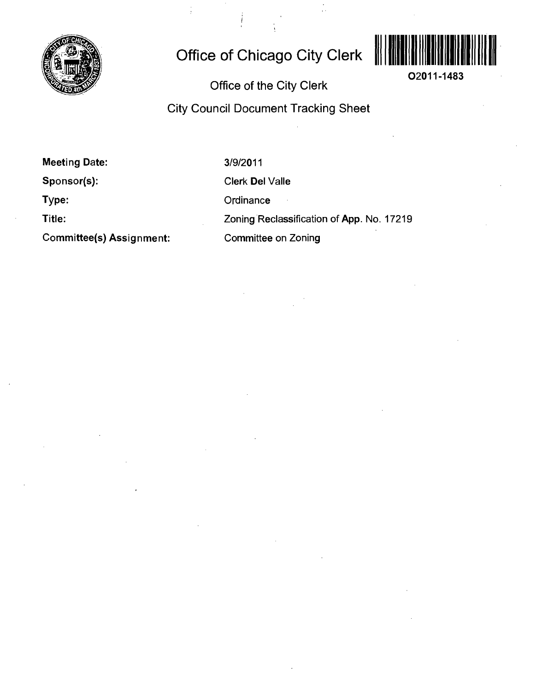

# **Office of Chicago City Clerk**



**02011-1483** 

**Office of the City Clerk** 

**City Council Document Tracking Sheet** 

**Meeting Date:** 

**Sponsor(s):** 

**Type:** 

**Title:** 

**Committee(s) Assignment:** 

3/9/2011

Clerk Del Valle

**Ordinance** 

Zoning Reclassification of App. No. 17219

Committee on Zoning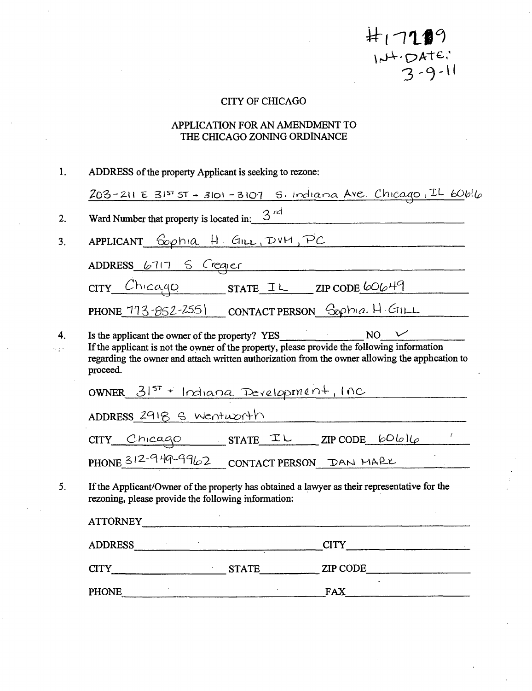$H17199$ <br> $104.04160$ <br> $3.9.11$ 

# CITY OF CHICAGO

# APPLICATION FOR AN AMENDMENT TO THE CHICAGO ZONING ORDINANCE

| 1. | ADDRESS of the property Applicant is seeking to rezone:                                                                                                                                                   |  |  |  |  |  |  |  |
|----|-----------------------------------------------------------------------------------------------------------------------------------------------------------------------------------------------------------|--|--|--|--|--|--|--|
|    | $203 - 211$ E $3157$ $5T + 3101 - 3107$ S. Indiana Ave. Chicago, IL 60616                                                                                                                                 |  |  |  |  |  |  |  |
| 2. | Ward Number that property is located in: $3^{rd}$                                                                                                                                                         |  |  |  |  |  |  |  |
| 3. | APPLICANT Cophia H. GILL, DVM, PC                                                                                                                                                                         |  |  |  |  |  |  |  |
|    | ADDRESS 6717 S. Crequer                                                                                                                                                                                   |  |  |  |  |  |  |  |
|    | $CITY$ $Chicaqo$ state IL ZIP CODE 60649                                                                                                                                                                  |  |  |  |  |  |  |  |
|    | PHONE 773-852-2551 CONTACT PERSON Sophia H. GILL                                                                                                                                                          |  |  |  |  |  |  |  |
| 4. | If the applicant is not the owner of the property, please provide the following information<br>regarding the owner and attach written authorization from the owner allowing the apphcation to<br>proceed. |  |  |  |  |  |  |  |
|    | OWNER 31st + Indiana Development, Inc                                                                                                                                                                     |  |  |  |  |  |  |  |
|    | ADDRESS 2918 S Wentworth                                                                                                                                                                                  |  |  |  |  |  |  |  |
|    | $CITY$ Chicago STATE IL ZIPCODE 60616                                                                                                                                                                     |  |  |  |  |  |  |  |
|    | PHONE 312-949-9962 CONTACT PERSON DAN MARK                                                                                                                                                                |  |  |  |  |  |  |  |
| 5. | If the Applicant/Owner of the property has obtained a lawyer as their representative for the<br>rezoning, please provide the following information:                                                       |  |  |  |  |  |  |  |
|    | ATTORNEY                                                                                                                                                                                                  |  |  |  |  |  |  |  |
|    | ADDRESS CITY CITY                                                                                                                                                                                         |  |  |  |  |  |  |  |
|    |                                                                                                                                                                                                           |  |  |  |  |  |  |  |
|    | <b>FAX</b><br><b>PHONE</b>                                                                                                                                                                                |  |  |  |  |  |  |  |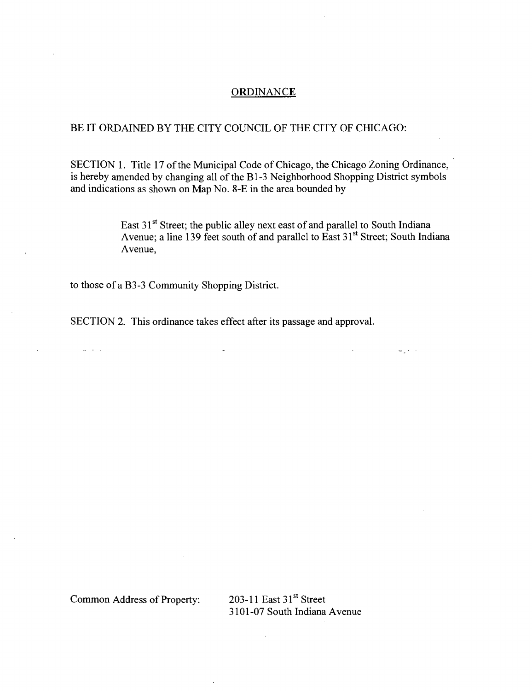#### **ORDINANCE**

# BE IT ORDAINED BY THE CITY COUNCIL OF THE CITY OF CHICAGO:

SECTION 1. Title 17 of the Municipal Code of Chicago, the Chicago Zoning Ordinance, is hereby amended by changing all of the Bl-3 Neighborhood Shopping District symbols and indications as shown on Map No. 8-E in the area bounded by

> East 31<sup>st</sup> Street; the public alley next east of and parallel to South Indiana Avenue; a line 139 feet south of and parallel to East 31<sup>st</sup> Street; South Indiana Avenue,

> > 2000

to those of a B3-3 Community Shopping District.

SECTION 2. This ordinance takes effect after its passage and approval.

Common Address of Property: 203-11 East 31'' Street

 $\mathbb{R}^2$  and  $\mathbb{R}^2$ 

3101-07 South Indiana Avenue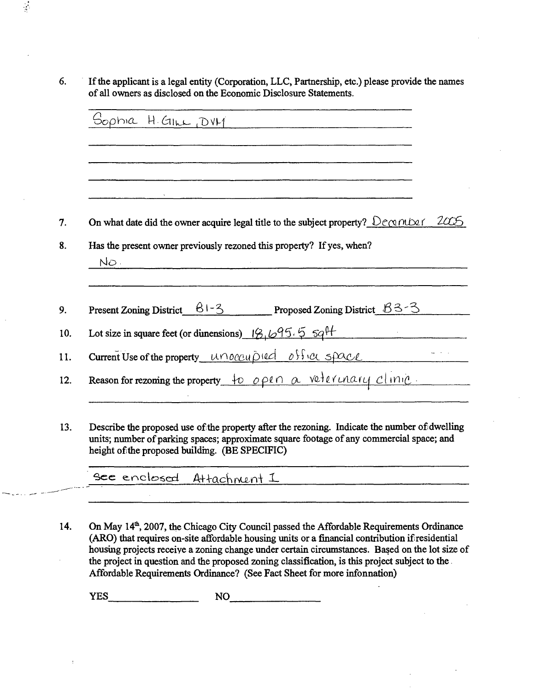6. If the applicant is a legal entity (Corporation, LLC, Partnership, etc.) please provide the names of all owners as disclosed on the Economic Disclosure Statements.

 $\frac{1}{2}$ 

|                                                                                                                                                                                         | المدينة المستقلة المدينة المستقلة المستقلة المستقلة المستقلة المستقلة المستقلة المستقلة المستقلة المستقلة المس |  |  |
|-----------------------------------------------------------------------------------------------------------------------------------------------------------------------------------------|----------------------------------------------------------------------------------------------------------------|--|--|
| On what date did the owner acquire legal title to the subject property? $\bigcup_{\mathcal{C}}\bigcirc_{\mathcal{C}}\bigcirc_{\mathcal{C}}\bigcirc_{\mathcal{C}}\bigcirc_{\mathcal{C}}$ |                                                                                                                |  |  |
| Has the present owner previously rezoned this property? If yes, when?                                                                                                                   |                                                                                                                |  |  |
| NO <sub>1</sub>                                                                                                                                                                         |                                                                                                                |  |  |
|                                                                                                                                                                                         |                                                                                                                |  |  |
| Present Zoning District $\underline{\hspace{1cm} 81-3}$ Proposed Zoning District $\underline{\hspace{1cm} 83-3}$                                                                        |                                                                                                                |  |  |
| Lot size in square feet (or dimensions) $19.695.557$                                                                                                                                    |                                                                                                                |  |  |
|                                                                                                                                                                                         | Current Use of the property unoccupied office space                                                            |  |  |
|                                                                                                                                                                                         |                                                                                                                |  |  |
| Reason for rezoning the property to open a veterinary clinic                                                                                                                            |                                                                                                                |  |  |

13. Describe the proposed use of the property after the rezoning. Indicate the number of dwelling units; number of parking spaces; approximate square footage of any commercial space; and height of the proposed building. (BE SPECIFIC)

See enclosed Attachment I

14. On May 14<sup>th</sup>, 2007, the Chicago City Council passed the Affordable Requirements Ordinance (ARO) that requires on-site affordable housing units or a financial contribution if residential housuig projects receive a zoning change under certain circumstances. Based on the lot size of the project in question and the proposed zoning classification, is this project subject to the Affordable Requirements Ordinance? (See Fact Sheet for more infonnation)

YES NO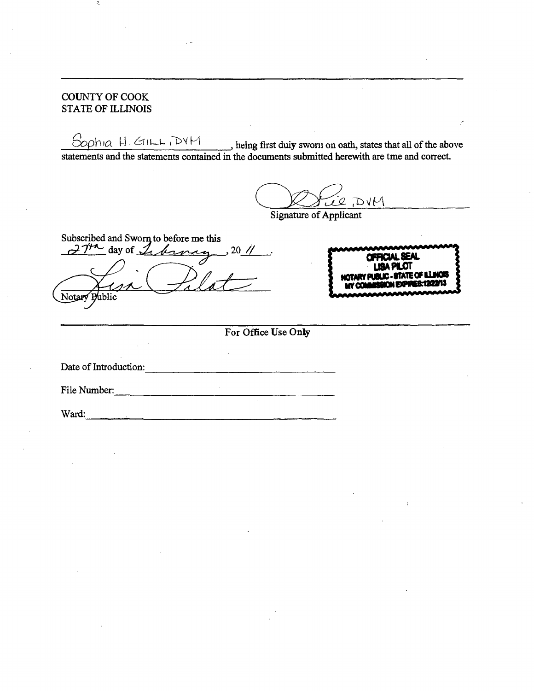# COUNTY OF COOK STATE OF ILLINOIS

 $S$ oph ig  $H$  –  $G$  ill-L  $I$   $\mathcal{D}V$   $\mathcal{M}$   $\mathcal{M}$  is the first duiv sworn on oath, states that all of the above statements and the statements contained in the documents submitted herewith are tme and correct.

*7U2. 7>^IA* 

Signature of Applicant

*Subscribed and Swornto before me this*   $d^2T^{\prime\prime}$  day of  $\mathcal{L}_t$  become 20 //  $\sqrt{at}$ Notary **Public** 

jjumAnnfMMTr"' \*\*\*\* **OFROALSEAL USAPUOT MOTARY PUBLIC - STATE OF ILLINOIS** 

**For Office Use Only** 

Date of Introduction:

File Number: and the contract of the contract of the contract of the contract of the contract of the contract of the contract of the contract of the contract of the contract of the contract of the contract of the contract of the contra

Ward: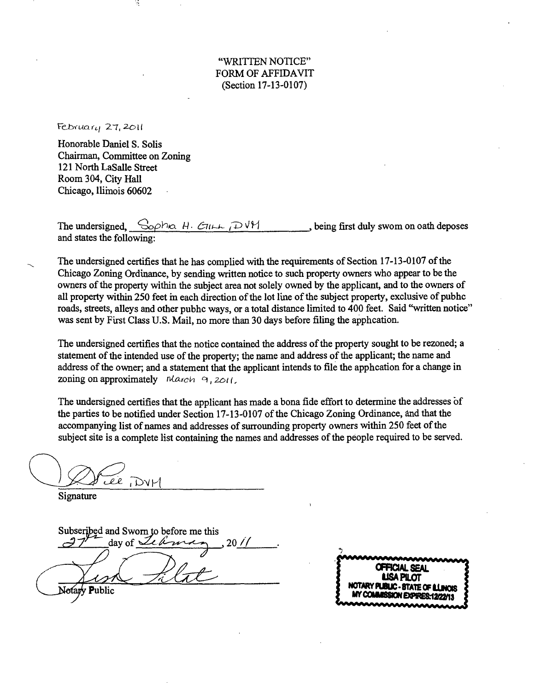"WRITTEN NOTICE" FORM OF AFFIDAVIT (Section 17-13-0107)

 $F$ ebruary 27, 2011

Honorable Daniel S. Solis Chairman, Committee on Zoning 121 North LaSalle Street Room 304, City Hall Chicago, llimois 60602

The undersigned,  $\frac{C_{\text{op}}\ln A \cdot \text{ceil}}{H}$  /D  $\frac{V}{H}$  being first duly swom on oath deposes and states the following:

The undersigned certifies that he has complied with the requirements of Section 17-13-0107 of the Chicago Zoning Orduiance, by sending written notice to such property owners who appear to be the owners of the property within the subject area not solely owned by the applicant, and to the owners of all property within 250 feet in each direction of the lot line of the subject property, exclusive of pubhc roads, streets, alleys and other pubhc ways, or a total distance limited to 400 feet. Said "written notice" was sent by First Class U.S. Mail, no more than 30 days before filing the apphcation.

*The undersigned certifies that the notice contained the address of the property sought to be rezoned; a*  statement of the intended use of the property; the name and address of the applicant; the name and *address of the owner; and a statement that the applicant intends to file the apphcation for a change in*  zoning on approximately  $\normalsize \begin{bmatrix} \textit{March} & \textit{a} \\ \textit{2} & \textit{2} \\ \textit{4} & \textit{5} \end{bmatrix}$ 

The undersigned certifies that the applicant has made a bona fide effort to determine the addresses of the parties to be notified under Section 17-13-0107 of the Chicago Zoning Ordinance, and that the accompanying list of names and addresses of surrounding property owners within 250 feet of the subject site is a complete list containing the names and addresses of the people required to be served.

Lee DVM

Signature

Subseribed and Sworn to before me this  $\frac{d}{dx}$ day of  $\frac{J_{\ell} \mathbb{A}_{m \times n}}{20/1}$ Notary Public

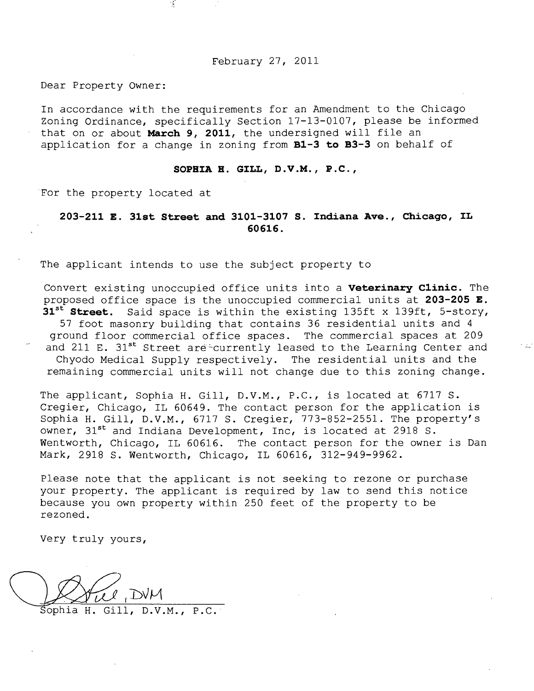February 27, 2011

Dear Property Owner:

In accordance with the requirements for an Amendment to the Chicago Zoning Ordinance, specifically Section 17-13-0107, please be informed that on or about March 9, 2011, the undersigned will file an application for a change in zoning from  $B1-3$  to  $B3-3$  on behalf of

#### **SOPHIA H. GILL, D.V.M., P.C,**

For the property located at

 $\mathcal{A}$ 

# **203-211 E. 31st Street and 3101-3107 S. Indiana Ave., Chicago, IL 60616.**

The applicant intends to use the subject property to

Convert existing unoccupied office units into a **Veterinary Clinic**. The proposed office space is the unoccupied commercial units at 203-205  $E$ . 31<sup>st</sup> Street. Said space is within the existing 135ft x 139ft, 5-story, 57 foot masonry building that contains 36 residential units and 4 ground floor commercial office spaces. The commercial spaces at 209 and 211 E.  $31^{st}$  Street are-currently leased to the Learning Center and Chyodo Medical Supply respectively. The residential units and the remaining commercial units will not change due to this zoning change.

The applicant, Sophia H. Gill, D.V.M., P.C., is located at 6717 S. Cregier, Chicago, IL 60649. The contact person for the application is Sophia H. Gill, D.V.M., 6717 S. Cregier, 773-852-2551. The property's owner,  $31^{\text{st}}$  and Indiana Development, Inc, is located at 2918 S. Wentworth, Chicago, IL 60616. The contact person for the owner is Dan Mark, 2918 S. Wentworth, Chicago, IL 60616, 312-949-9962.

Please note that the applicant is not seeking to rezone or purchase your property. The applicant is required by law to send this notice because you own property within 250 feet of the property to be rezoned.

Very truly yours,

Sophia H. Gill, D.V.M., P.C.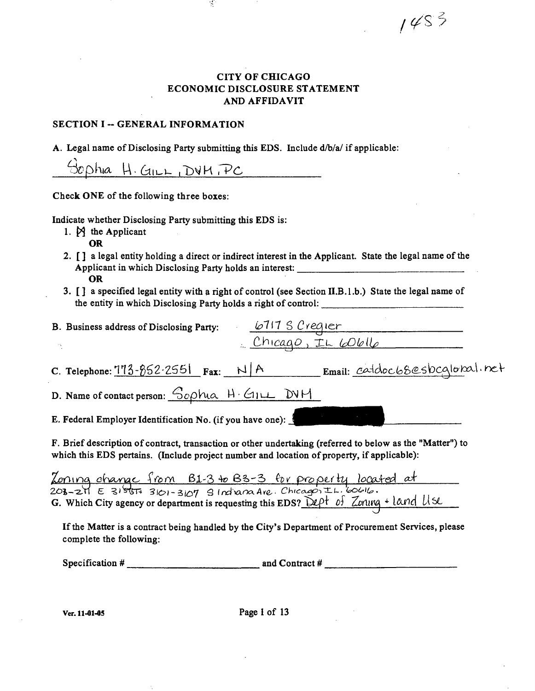$1453$ 

# **CITY OF CHICAGO ECONOMIC DISCLOSURE STATEMENT AND AFFIDAVIT**

#### **SECTION I -- GENERAL INFORMATION**

**A. Legal name of Disclosing Party submitting this EDS. Include d/b/a/if applicable:** 

ř,

 $G$ phia  $H$ . GILL, DVM,  $PC$ 

**Check ONE of the following three boxes:** 

**Indicate whether Disclosing Party submitting this EDS is:** 

- 1.  $\cancel{P}$  the Applicant **OR**
- **2. [] a legal entity holding a direct or indirect interest in the Applicant. State the legal name of the Applicant in which Disclosing Party holds an interest: OR**
- **3. [ ] a specified legal entity with a right of control (see Section II.B.l .b.) State the legal name of**  the entity in which Disclosing Party holds a right of control:

| B. Business address of Disclosing Party:                                                                                                                                                                | 6717 S Crequer<br>Chicago, IL Wolle |                               |
|---------------------------------------------------------------------------------------------------------------------------------------------------------------------------------------------------------|-------------------------------------|-------------------------------|
| $\sim$                                                                                                                                                                                                  |                                     |                               |
| C. Telephone: $113 - 852 - 2551$ Fax: $N/R$                                                                                                                                                             |                                     | Email: catdoc68esbcglobal.net |
| D. Name of contact person: Sophia H. GILL DVM                                                                                                                                                           |                                     |                               |
| E. Federal Employer Identification No. (if you have one):                                                                                                                                               |                                     |                               |
| F. Brief description of contract, transaction or other undertaking (referred to below as the "Matter") to<br>which this EDS pertains. (Include project number and location of property, if applicable): |                                     |                               |

*^nma oKgoyyao -f/bm 6l-3 ^ B^^-S prppuh^ }oCa7&i <^*  **G.** Which City agency or department is requesting this EDS? Dept of Zorung  $\div$  land Use

If the Matter is a contract being handled by the City's Department of Procurement Services, please **complete the following:** 

**Specification # and Contract #** 

**Ver. 11-01-05 Page I of 13**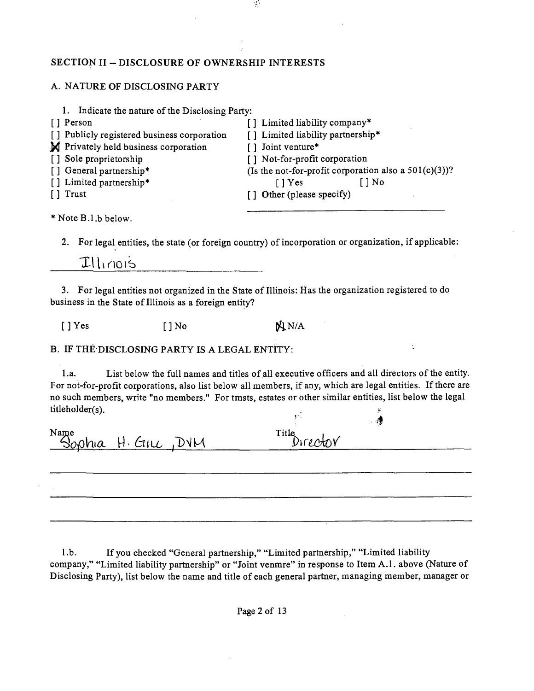#### **SECTION II ~ DISCLOSURE OF OWNERSHIP INTERESTS**

#### A. NATURE OF DISCLOSING PARTY

| 1. Indicate the nature of the Disclosing Party: |  |                   |                                   |        |                                                          |
|-------------------------------------------------|--|-------------------|-----------------------------------|--------|----------------------------------------------------------|
| [] Person                                       |  |                   | [] Limited liability company*     |        |                                                          |
| [] Publicly registered business corporation     |  |                   | [] Limited liability partnership* |        |                                                          |
| M Privately held business corporation           |  | [] Joint venture* |                                   |        |                                                          |
| [] Sole proprietorship                          |  |                   | [] Not-for-profit corporation     |        |                                                          |
| [] General partnership*                         |  |                   |                                   |        | (Is the not-for-profit corporation also a $501(c)(3)$ )? |
| [] Limited partnership*                         |  | $\lceil$   Yes    |                                   | ์ ] No |                                                          |
| $\lceil \cdot \rceil$ Trust                     |  |                   | [] Other (please specify)         |        |                                                          |
|                                                 |  |                   |                                   |        |                                                          |

 $\tilde{\gamma}$ 

\* Note B.l.b below.

2. For legal entities, the state (or foreign country) of incorporation or organization, if applicable:

# Illinois

3. For legal entities not organized in the State of Illinois: Has the organization registered to do business in the State of Illinois as a foreign entity?

 $[$  ] Yes  $[$  ] No  $\mathbb{N}^{N/A}$ 

B. IF THE DISCLOSING PARTY IS A LEGAL ENTITY:

1 .a. List below the full names and titles of all executive officers and all directors of the entity. For not-for-profit corporations, also list below all members, if any, which are legal entities. If there are no such members, write "no members." For tmsts, estates or other similar entities, list below the legal  $titleholder(s)$ .

*-4* 

Name<br>Sophia H. Girc, DVM Title Director

l.b. If you checked "General partnership," "Limited partnership," "Limited liability company," "Limited liability partaership" or "Joint venmre" in response to Item A.l . above (Nature of Disclosing Party), list below the name and title of each general partaer, managing member, manager or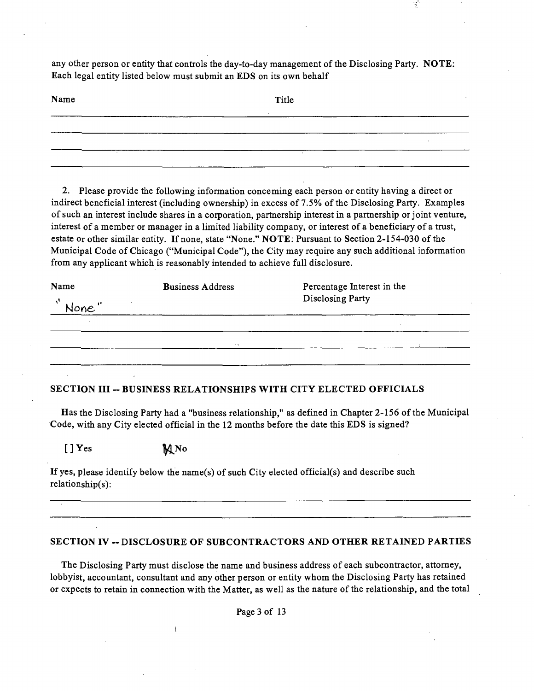any other person or entity that controls the day-to-day management of the Disclosing Party. NOTE: Each legal entity listed below must submit an EDS on its own behalf

 $\mathcal{A}$ 

| Name<br> | Title |
|----------|-------|
|          |       |
|          |       |
|          |       |

2. Please provide the following information conceming each person or entity having a direct or indirect beneficial interest (including ownership) in excess of 7.5% of the Disclosing Party. Examples of such an interest include shares in a corporation, partnership interest in a partnership or joint venture, interest of a member or manager in a limited liability company, or interest of a beneficiary of a trust, estate or other similar entity. If none, state "None." NOTE: Pursuant to Section 2-154-030 of the Municipal Code of Chicago ("Municipal Code"), the City may require any such additional information from any applicant which is reasonably intended to achieve full disclosure.

| <b>Business Address</b> | Percentage Interest in the |                  |  |
|-------------------------|----------------------------|------------------|--|
|                         |                            |                  |  |
|                         |                            |                  |  |
| $\sim$ $\sim$           |                            |                  |  |
|                         |                            |                  |  |
|                         |                            | Disclosing Party |  |

#### **SECTION III ~ BUSINESS RELATIONSHIPS WITH CITY ELECTED OFFICIALS**

Has the Disclosing Party had a "business relationship," as defined in Chapter 2-156 of the Municipal Code, with any City elected official in the 12 months before the date this EDS is signed?

 $[J]$   $Y$ es  $M$   $N$ o

Ì

If yes, please identify below the name(s) of such City elected official(s) and describe such relationship(s):

#### **SECTION IV ~ DISCLOSURE OF SUBCONTRACTORS AND OTHER RETAINED PARTIES**

The Disclosing Party must disclose the name and business address of each subcontractor, attorney, lobbyist, accountant, consultant and any other person or entity whom the Disclosing Party has retained or expects to retain in connection with the Matter, as well as the nature of the relationship, and the total

Page 3 of 13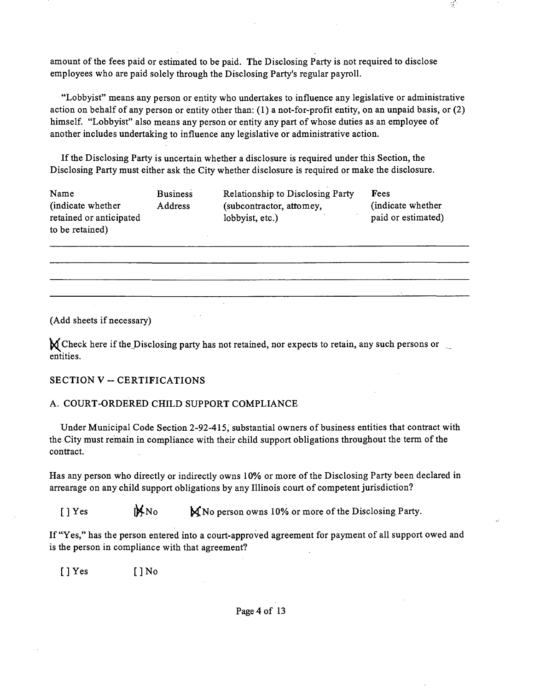amount of the fees paid or estimated to be paid. The Disclosing Party is not required to disclose employees who are paid solely through the Disclosing Party's regular payroll.

"Lobbyist" means any person or entity who undertakes to influence any legislative or administrative action on behalf of any person or entity other than: (1) a not-for-profit entity, on an unpaid basis, or (2) himself. "Lobbyist" also means any person or entity any part of whose duties as an employee of another includes undertaking to influence any legislative or administrative action.

 $\sigma$ 

If the Disclosing Party is uncertain whether a disclosure is required under this Section, the Disclosing Party must either ask the City whether disclosure is required or make the disclosure.

| Name                    | <b>Business</b> | <b>Relationship to Disclosing Party</b> | Fees               |
|-------------------------|-----------------|-----------------------------------------|--------------------|
| (indicate whether)      | <b>Address</b>  | (subcontractor, attomey,                | (indicate whether) |
| retained or anticipated |                 | lobbyist, etc.)                         | paid or estimated) |
| to be retained)         |                 |                                         |                    |

(Add sheets if necessary)

 $\bigvee$  Check here if the Disclosing party has not retained, nor expects to retain, any such persons or entities.

#### **SECTION V ~ CERTIFICATIONS**

#### A. COURT-ORDERED CHILD SUPPORT COMPLIANCE

Under Municipal Code Section 2-92-415, substantial owners of business entities that contract with the City must remain in compliance with their child support obligations throughout the term of the contract.

Has any person who directly or indirectly owns 10% or more of the Disclosing Party been declared in arrearage on any child support obligations by any Illinois court of competent jurisdiction?

[] Yes MNo  $\mathbb{M}$ No  $\mathbb{M}$ No person owns 10% or more of the Disclosing Party.

If "Yes," has the person entered into a court-approved agreement for payment of all support owed and is the person in compliance with that agreement?

[]Yes []No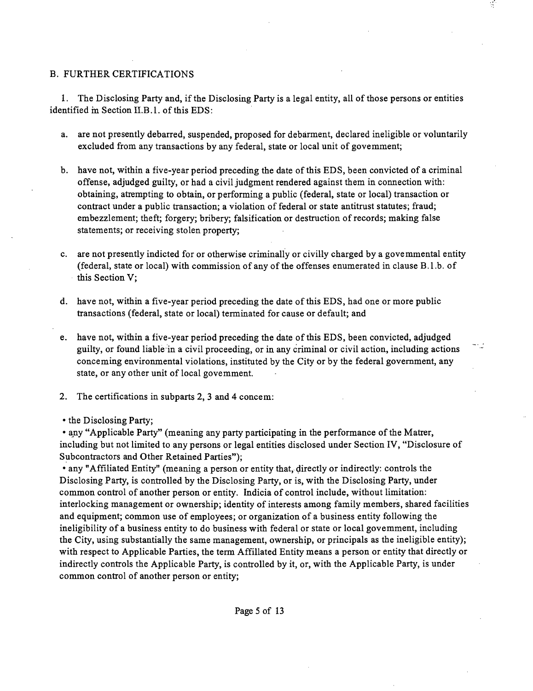#### B. FURTHER CERTIFICATIONS

1. The Disclosing Party and, ifthe Disclosing Party is a legal entity, all of those persons or entities identified in Section II.B.1. of this EDS:

- a. are not presently debarred, suspended, proposed for debarment, declared ineligible or voluntarily excluded from any transactions by any federal, state or local unit of govemment;
- b. have not, within a five-year period preceding the date of this EDS, been convicted of a criminal offense, adjudged guilty, or had a civil judgment rendered against them in connection with: obtaining, attempting to obtain, or performing a public (federal, state or local) transaction or contract under a public transaction; a violation of federal or state antitrust statutes; fraud; embezzlement; theft; forgery; bribery; falsification or destruction of records; making false statements; or receiving stolen property;
- c. are not presently indicted for or otherwise criminally or civilly charged by a govemmental entity (federal, state or local) with commission of any of the offenses enumerated in clause B.l.b. of this Section V;
- d. have not, within a five-year period preceding the date of this EDS, had one or more public ttansactions (federal, state or local) terminated for cause or default; and
- e. have not, within a five-year period preceding the date of this EDS, been convicted, adjudged guilty, or found liable in a civil proceeding, or in any criminal or civil action, including actions conceming environmental violations, instituted by the City or by the federal govemment, any state, or any other unit of local govemment.
- 2. The certifications in subparts 2, 3 and 4 concem:
- the Disclosing Party;

• any "Applicable Party" (meaning any party participating in the performance of the Matrer, including but not limited to any persons or legal entities disclosed under Section IV, "Disclosure of Subcontractors and Other Retained Parties");

• any "Affiliated Entity" (meaning a person or entity that, directly or indirectly: controls the Disclosing Party, is controlled by the Disclosing Party, or is, with the Disclosing Party, under common conttol of another person or entity. Indicia of control include, without limitation: interlocking management or ownership; identity of interests among family members, shared facilities and equipment; common use of employees; or organization of a business entity following the ineligibility of a business entity to do business with federal or state or local govemment, including the City, using substantially the same management, ownership, or principals as the ineligible entity); with respect to Applicable Parties, the term Affillated Entity means a person or entity that directly or indirectly controls the Applicable Party, is controlled by it, or, with the Applicable Party, is under common conttol of another person or entity;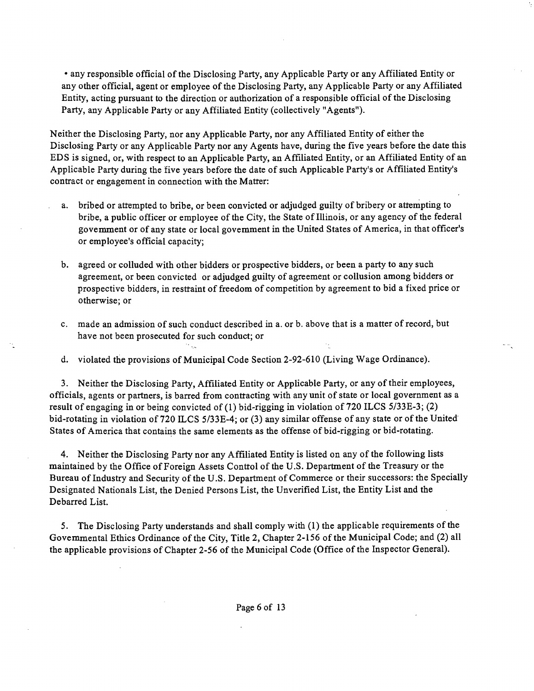• any responsible official of the Disclosing Party, any Applicable Party or any Affiliated Entity or any other official, agent or employee of the Disclosing Party, any Applicable Party or any Affiliated Entity, acting pursuant to the direction or authorization of a responsible official of the Disclosing Party, any Applicable Party or any Affiliated Entity (collectively "Agents").

Neither the Disclosing Party, nor any Applicable Party, nor any Affiliated Entity of either the Disclosing Party or any Applicable Party nor any Agents have, during the five years before the date this EDS is signed, or, with respect to an Applicable Party, an Affiliated Entity, or an Affiliated Entity of an Applicable Party during the five years before the date of such Applicable Party's or Affiliated Entity's contract or engagement in connection with the Matter:

- a. bribed or attempted to bribe, or been convicted or adjudged guilty of bribery or attempting to bribe, a public officer or employee of the City, the State of Illinois, or any agency of the federal govemment or of any state or local govemment in the United States of America, in that officer's or employee's official capacity;
- b. agreed or colluded with other bidders or prospective bidders, or been a party to any such agreement, or been convicted or adjudged guilty of agreement or collusion among bidders or prospective bidders, in resttaint of freedom of competition by agreement to bid a fixed price or otherwise; or
- c. made an admission of such conduct described in a. or b. above that is a matter of record, but have not been prosecuted for such conduct; or

d. violated the provisions of Municipal Code Section 2-92-610 (Living Wage Ordinance).

3. Neither the Disclosing Party, Affiliated Entity or Applicable Party, or any of their employees, officials, agents or partners, is barred from conttacting with any unit of state or local government as a result of engaging in or being convicted of (1) bid-rigging in violation of 720 ILCS 5/33E-3; (2) bid-rotating in violation of 720 ILCS 5/33E-4; or (3) any similar offense of any state or of the United States of America that contains the same elements as the offense of bid-rigging or bid-rotating.

4. Neither the Disclosing Party nor any Affiliated Entity is listed on any of the following lists maintained by the Office of Foreign Assets Conttol of the U.S. Department of the Treasury or the Bureau of Industry and Security of the U.S. Department of Commerce or their successors: the Specially Designated Nationals List, the Denied Persons List, the Unverified List, the Entity List and the Debarred List.

5. The Disclosing Party understands and shall comply with (1) the applicable requirements of the Govemmental Ethics Ordinance of the City, Title 2, Chapter 2-156 of the Municipal Code; and (2) all the applicable provisions of Chapter 2-56 of the Municipal Code (Office of the Inspector General).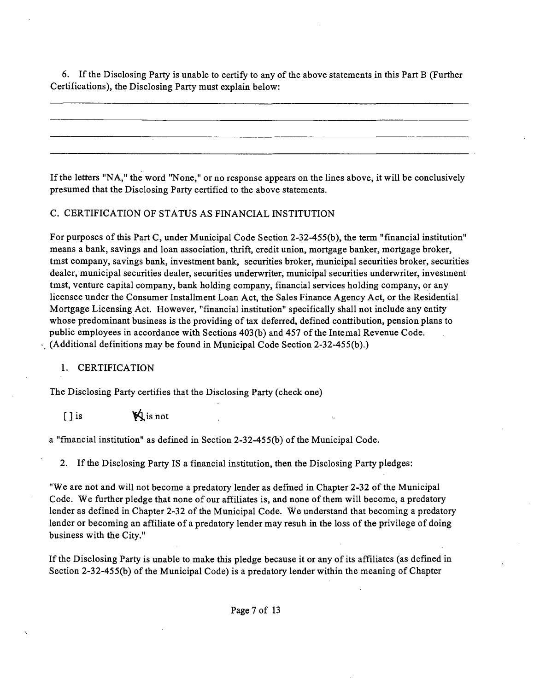6. Ifthe Disclosing Party is unable to certify to any of the above statements in this Part B (Further Certifications), the Disclosing Party must explain below:

If the letters "NA," the word "None," or no response appears on the lines above, it will be conclusively presumed that the Disclosing Party certified to the above statements.

#### C. CERTIFICATION OF STATUS AS FINANCIAL INSTITUTION

For purposes of this Part C, under Municipal Code Section 2-32-455(b), the term "financial institution" means a bank, savings and loan association, thrift, credit union, mortgage banker, mortgage broker, tmst company, savings bank, investment bank, securities broker, municipal securities broker, securities dealer, municipal securities dealer, securities underwriter, municipal securities underwriter, investment tmst, venture capital company, bank holding company, financial services holding company, or any licensee under the Consumer Installment Loan Act, the Sales Finance Agency Act, or the Residential Mortgage Licensing Act. However, "financial institution" specifically shall not include any entity whose predominant business is the providing of tax deferred, defined conttibution, pension plans to public employees in accordance with Sections 403(b) and 457 ofthe Intemal Revenue Code. (Additional definitions may be found in Municipal Code Section 2-32-455(b).)

#### 1. CERTIFICATION

The Disclosing Party certifies that the Disclosing Party (check one)

 $[ ]$  is  $\mathbb{X}$  is not

a "fmancial institution" as defined in Section 2-32-455(b) of the Municipal Code.

2. Ifthe Disclosing Party IS a financial institution, then the Disclosing Party pledges:

"We are not and will not become a predatory lender as defmed in Chapter 2-32 of the Municipal Code. We further pledge that none of our affiliates is, and none of them will become, a predatory lender as defined in Chapter 2-32 of the Municipal Code. We understand that becoming a predatory lender or becoming an affiliate of a predatory lender may resuh in the loss of the privilege of doing business with the City."

Ifthe Disclosing Party is unable to make this pledge because it or any of its affiliates (as defined in Section 2-32-455(b) of the Municipal Code) is a predatory lender within the meaning of Chapter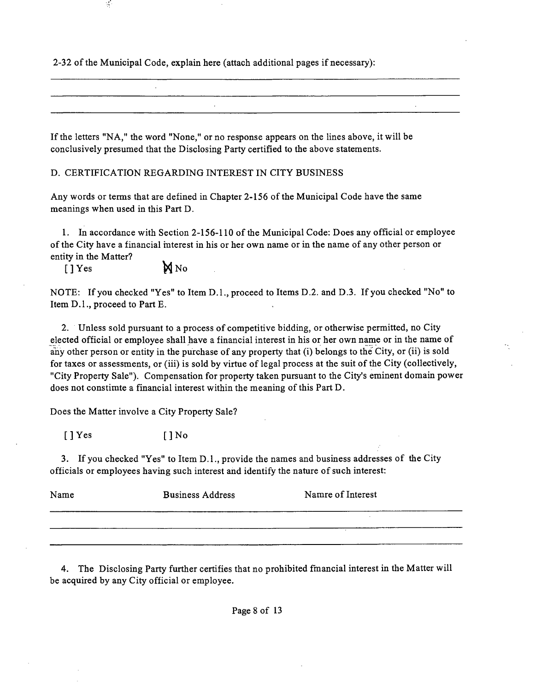2-32 ofthe Municipal Code, explain here (attach additional pages if necessary):

If the letters "NA," the word "None," or no response appears on the lines above, it will be conclusively presumed that the Disclosing Party certified to the above statements.

D. CERTIFICATION REGARDING INTEREST IN CITY BUSINESS

Any words or terms that are defined in Chapter 2-156 of the Municipal Code have the same meanings when used in this Part D.

1. In accordance with Section 2-156-110 of the Municipal Code: Does any official or employee of the City have a financial mterest in his or her own name or in the name of any other person or entity in the Matter?

 $[]$  Yes  $\mathbb{N}$  No

 $\mathcal{A}$ 

NOTE: If you checked "Yes" to Item D.l. , proceed to Items D.2. and D.3. If you checked "No" to Item D.l. , proceed to Part E.

2. Unless sold pursuant to a process of competitive bidding, or otherwise permitted, no City elected official or employee shall have a financial interest in his or her own name or in the name of any other person or entity in the purchase of any property that (i) belongs to the City, or (ii) is sold for taxes or assessments, or (iii) is sold by virtue of legal process at the suit of the City (collectively, "City Property Sale"). Compensation for property taken pursuant to the City's eminent domain power does not constimte a financial interest within the meaning of this Part D.

Does the Matter involve a City Property Sale?

 $[$  ]  $Y$ es  $[$   $]$   $N$ o

3. If you checked "Yes" to Item D.l. , provide the names and business addresses of the City officials or employees having such interest and identify the nature of such interest:

| Name | <b>Business Address</b> | Namre of Interest |  |  |  |
|------|-------------------------|-------------------|--|--|--|
|      |                         |                   |  |  |  |
|      |                         |                   |  |  |  |

4. The Disclosing Party further certifies that no prohibited fmancial interest in the Matter will be acquired by any City official or employee.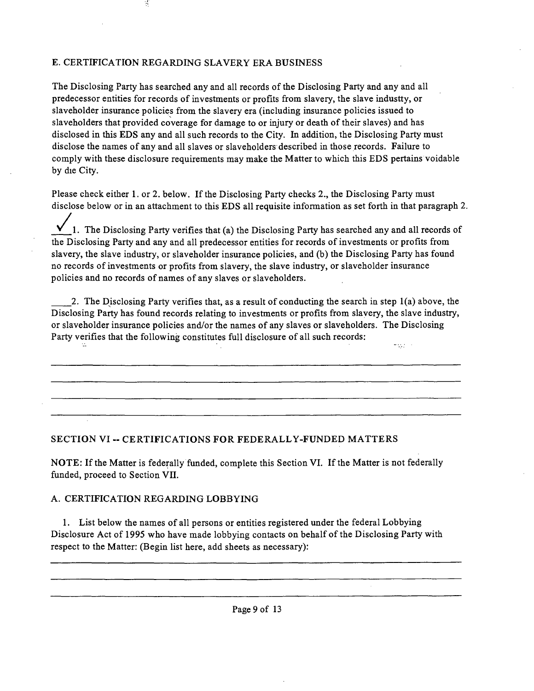# E. CERTIFICATION REGARDING SLAVERY ERA BUSINESS

 $\mathcal{A}$ 

The Disclosing Party has searched any and all records of the Disclosing Party and any and all predecessor entities for records of investments or profits from slavery, the slave industty, or slaveholder insurance policies from the slavery era (including insurance policies issued to slaveholders that provided coverage for damage to or injury or death of their slaves) and has disclosed in this EDS any and all such records to the City. In addition, the Disclosing Party must disclose the names of any and all slaves or slaveholders described in those records. Failure to comply with these disclosure requirements may make the Matter to which this EDS pertains voidable by die City.

Please check either 1. or 2. below. If the Disclosing Party checks 2., the Disclosing Party must disclose below or in an attachment to this EDS all requisite information as set forth in that paragraph 2.

1. The Disclosing Party verifies that (a) the Disclosing Party has searched any and all records of the Disclosing Party and any and all predecessor entities for records of investments or profits from slavery, the slave industry, or slaveholder insurance policies, and (b) the Disclosing Party has found no records of investments or profits from slavery, the slave industry, or slaveholder insurance policies and no records of names of any slaves or slaveholders.

2. The Disclosing Party verifies that, as a result of conducting the search in step 1(a) above, the Disclosing Party has found records relating to investments or profits from slavery, the slave industry, or slaveholder insurance policies and/or the names of any slaves or slaveholders. The Disclosing Party verifies that the following constitutes full disclosure of all such records: esta el

#### **SECTION VI ~ CERTIFICATIONS FOR FEDERALLY-FUNDED MATTERS**

NOTE: If the Matter is federally funded, complete this Section VI. If the Matter is not federally funded, proceed to Section VII.

#### A. CERTIFICATION REGARDING LOBBYING

1. List below the names of all persons or entities registered under the federal Lobbying Disclosure Act of 1995 who have made lobbying contacts on behalf of the Disclosing Party with respect to the Matter: (Begin list here, add sheets as necessary):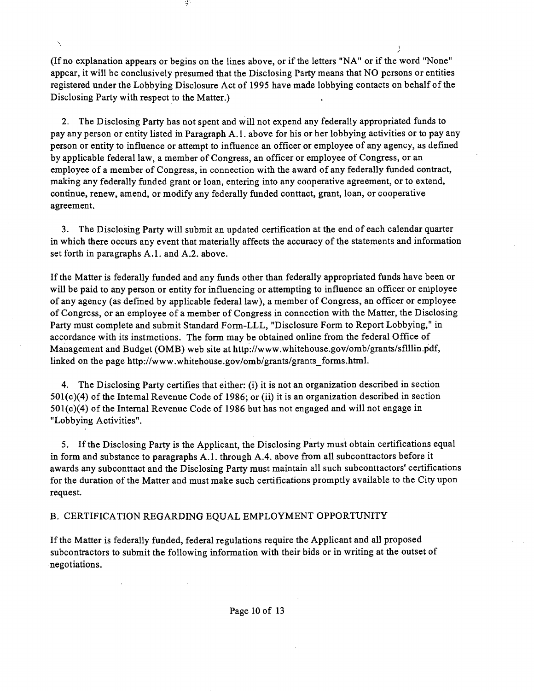(If no explanation appears or begins on the lines above, or ifthe letters "NA" or if the word "None" appear, it will be conclusively presumed that the Disclosing Party means that NO persons or entities registered under the Lobbying Disclosure Act of 1995 have made lobbying contacts on behalf of the Disclosing Party with respect to the Matter.)

 $\overline{)}$ 

Ķ.

2. The Disclosing Party has not spent and will not expend any federally appropriated funds to pay any person or entity listed m Paragraph A.l . above for his or her lobbying activities or to pay any person or entity to influence or attempt to influence an officer or employee of any agency, as defined by applicable federal law, a member of Congress, an officer or employee of Congress, or an employee of a member of Congress, in connection with the award of any federally funded contract, making any federally funded grant or loan, entering into any cooperative agreement, or to extend, continue, renew, amend, or modify any federally funded conttact, grant, loan, or cooperative agreement.

3. The Disclosing Party will submit an updated certification at the end of each calendar quarter in which there occurs any event that materially affects the accuracy of the statements and information set forth in paragraphs A.1. and A.2. above.

If the Matter is federally funded and any funds other than federally appropriated funds have been or will be paid to any person or entity for influencing or attempting to influence an officer or eniployee of any agency (as defmed by applicable federal law), a member of Congress, an officer or employee of Congress, or an employee of a member of Congress in connection with the Matter, the Disclosing Party must complete and submit Standard Form-LLL, "Disclosure Form to Report Lobbying," in accordance with its instmctions. The form may be obtained online from the federal Office of Management and Budget (OMB) web site at http://www.whitehouse.gov/omb/grants/sflllin.pdf, linked on the page http://www.whitehouse.gov/omb/grants/grants\_forms.html.

4. The Disclosing Party certifies that either: (i) it is not an organization described in section 501(c)(4) of the Intemal Revenue Code of 1986; or (ii) it is an organization described in section 501(c)(4) of the Internal Revenue Code of 1986 but has not engaged and will not engage in "Lobbying Activities".

5. Ifthe Disclosing Party is the Applicant, the Disclosing Party must obtain certifications equal in form and substance to paragraphs A.1. through A.4. above from all subconttactors before it awards any subconttact and the Disclosing Party must maintain all such subconttactors' certifications for the duration of the Matter and must make such certifications promptly available to the City upon request.

#### B. CERTIFICATION REGARDING EQUAL EMPLOYMENT OPPORTUNITY

If the Matter is federally funded, federal regulations require the Applicant and all proposed subcontractors to submit the following information with their bids or in writing at the outset of negotiations.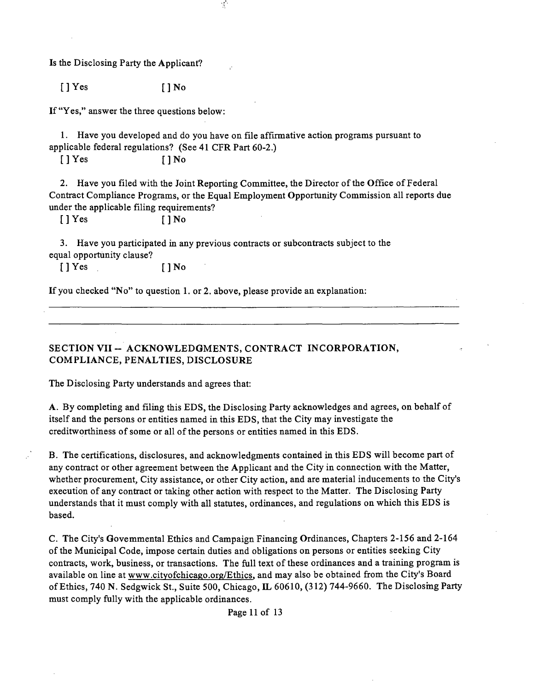Is the Disclosing Party the Applicant?

 $[ ]$  Yes  $[ ]$  No

If "Yes," answer the three questions below:

1. Have you developed and do you have on file affirmative action programs pursuant to applicable federal regulations? (See 41 CFR Part 60-2.)

 $\mathcal{A}$ 

 $[$  ] Yes  $[$   $]$  No

2. Have you filed with the Joint Reporting Committee, the Director of the Office of Federal Contract Compliance Programs, or the Equal Employment Opportunity Commission all reports due under the applicable filing requirements?

 $[$  ] Yes  $[$   $]$  No

3. Have you participated in any previous contracts or subcontracts subject to the equal opportunity clause?

[] Yes [] No

If you checked "No" to question 1. or 2. above, please provide an explanation:

**SECTION VII - ACKNOWLEDGMENTS, CONTRACT INCORPORATION, COMPLIANCE, PENALTIES, DISCLOSURE** 

The Disclosing Party understands and agrees that:

A. By completing and filing this EDS, the Disclosing Party acknowledges and agrees, on behalf of itself and the persons or entities named in this EDS, that the City may investigate the creditworthiness of some or all of the persons or entities named in this EDS.

B. The certifications, disclosures, and acknowledgments contained in this EDS will become part of any contract or other agreement between the Applicant and the City in connection with the Matter, whether procurement. City assistance, or other City action, and are material inducements to the City's execution of any contract or taking other action with respect to the Matter. The Disclosing Party understands that it must comply with all statutes, ordinances, and regulations on which this EDS is based.

C. The City's Govemmental Ethics and Campaign Financing Ordinances, Chapters 2-156 and 2-164 of the Municipal Code, impose certain duties and obligations on persons or entities seeking City conttacts, work, business, or transactions. The full text of these ordinances and a training program is available on line at www.cityofchicago.org/Ethics. and may also be obtained from the City's Board of Ethics, 740 N . Sedgwick St., Suite 500, Chicago, IL 60610, (312) 744-9660. The Disclosmg Party must comply fully with the applicable ordinances.

Page 11 of 13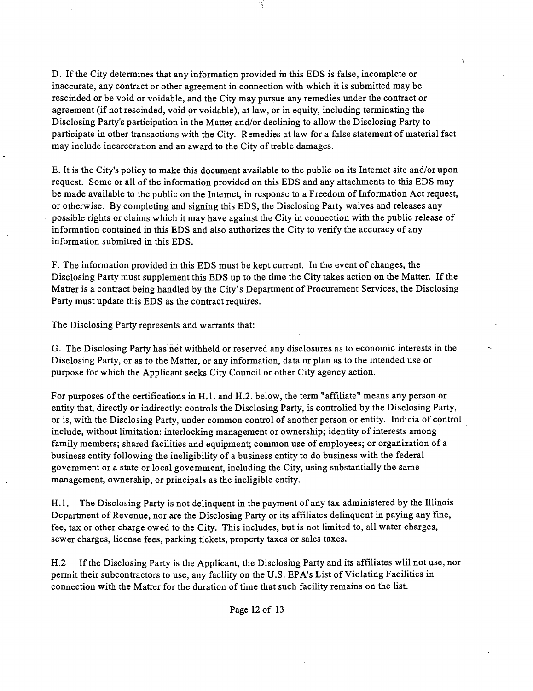D. If the City determines that any information provided m this EDS is false, incomplete or inaccurate, any contract or other agreement in connection with which it is submitted may be rescinded or be void or voidable, and the City may pursue any remedies under the contract or agreement (if not rescinded, void or voidable), at law, or in equity, including terminating the Disclosing Party's participation in the Matter and/or declining to allow the Disclosing Party to participate in other ttansactions with the City. Remedies at law for a false statement of material fact may include incarceration and an award to the City of tteble damages.

ŕ.

÷.

E. It is the City's policy to make this document available to the public on its Intemet site and/or upon request. Some or all of the information provided on this EDS and any attachments to this EDS may be made available to the public on the Intemet, in response to a Freedom of Information Act request, or otherwise. By completing and signing this EDS, the Disclosing Party waives and releases any possible rights or claims which it may have against the City in connection with the public release of information contained in this EDS and also authorizes the City to verify the accuracy of any information submitted in this EDS.

F. The information provided in this EDS must be kept current. In the event of changes, the Disclosing Party must supplement this EDS up to the time the City takes action on the Matter. If the Matter is a conttact being handled by the City's Department of Procurement Services, the Disclosing Party must update this EDS as the contract requires.

The Disclosing Party represents and warrants that:

G. The Disclosing Party has net withheld or reserved any disclosures as to economic interests in the Disclosing Party, or as to the Matter, or any information, data or plan as to the intended use or purpose for which the Applicant seeks City Council or other City agency action.

For purposes ofthe certifications in H.l . and H.2. below, the term "affiliate" means any person or entity that, directly or indirectly: controls the Disclosing Party, is controlied by the Disclosing Party, or is, with the Disclosing Party, under common control of another person or entity. Indicia of control include, without limitation: interlocking management or ownership; identity of interests among family members; shared facilities and equipment; common use of employees; or organization of a business entity following the ineligibility of a business entity to do business with the federal govemment or a state or local govemment, including the City, using substantially the same management, ownership, or principals as the ineligible entity.

H.1. The Disclosing Party is not delinquent in the payment of any tax administered by the Illinois Department of Revenue, nor are the Disclosmg Party or its affiliates delinquent in paying any fine, fee, tax or other charge owed to the City. This includes, but is not limited to, all water charges, sewer charges, license fees, parking tickets, property taxes or sales taxes.

H.2 If the Disclosing Party is the Applicant, the Disclosing Party and its affiliates wlil not use, nor permit their subcontractors to use, any facility on the U.S. EPA's List of Violating Facilities in connection with the Matter for the duration of time that such facility remains on the list.

# Page 12 of 13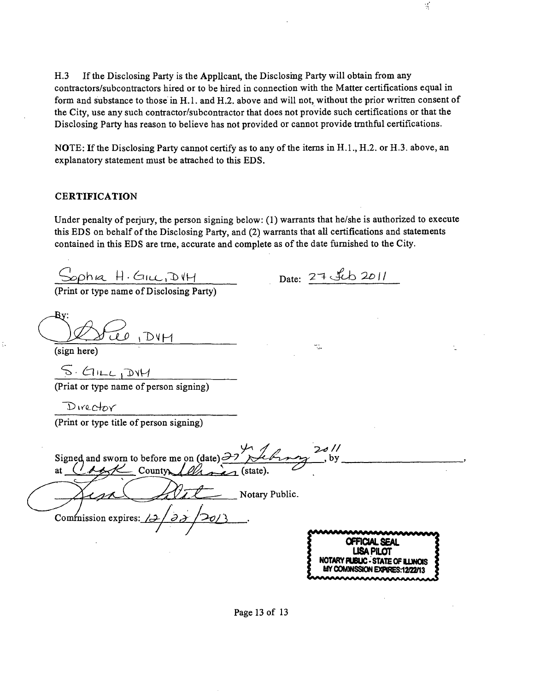H.3 If the Disclosing Party is the Applicant, the Disclosing Party will obtain from any conttactors/subconttactors hired or to be hired in connection with the Matter certifications equal in form and substance to those in H.l . and H.2. above and will not, without the prior written consent of the City, use any such contractor/subcontractor that does not provide such certifications or that the Disclosing Party has reason to believe has not provided or cannot provide tmthful certifications.

NOTE: If the Disclosing Party cannot certify as to any of the items in H.1., H.2. or H.3. above, an explanatory statement must be attached to this EDS,

#### **CERTIFICATION**

Under penalty of perjury, the person signing below: (1) warrants that he/she is authorized to execute this EDS on behalf of the Disclosing Party, and (2) warrants that all certifications and statements contained in this EDS are tme, accurate and complete as ofthe date fumished to the City.

 $Sophia$   $H.Guc, D'H$ <br>(Print or type name of Disclosing Party)

Date:  $27 \text{ Jcb} 2011$ 

B۷: Tier i DVM

(sign here)

 $\frac{S_{\text{H}}}{(2\pi)^{N+1}}$  (Priat or type name of person signing)

Director

(Print or type title of person signing)

 $\frac{1}{\sqrt{2}}$  Country *Allanes* Signed, and sworn to before me on (date)  $\partial^2$   $\partial^2$ *at CL2~^<7^ Countw^/^ (state). ~*   $20/1$  $\_\,$ , by  $\_\,$ Notary Public. *Commission expires: /2* 

**OFFICIAL SEAL USA PILOT NOTARY PU8UC • STATE OF UMOIS MY COMMSSION EXPIRES: 12/22/13** 

Page 13 of 13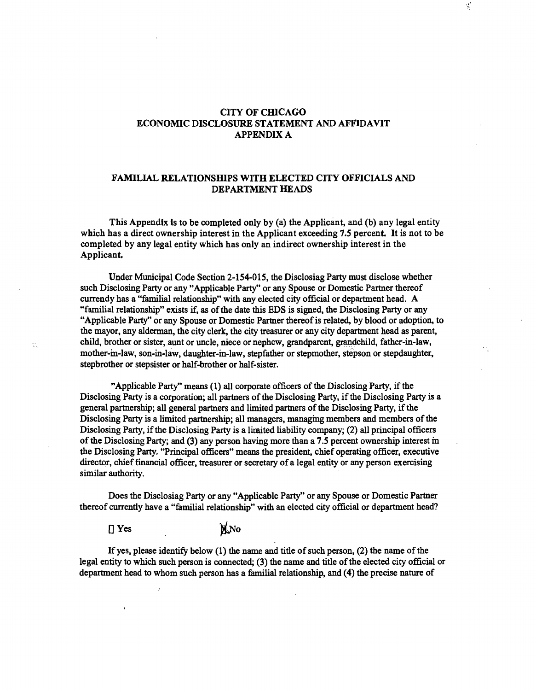#### **CITY OF CHICAGO ECONOMIC DISCLOSURE STATEMENT AND AFFIDAVIT APPENDIX A**

 $\mathcal{L}$ 

#### **FAMILIAL RELATIONSHIPS WITH ELECTED CITY OFFICIALS AND DEPARTMENT HEADS**

**This Appendix Is to be completed only by (a) the Applicant, and (b) any legal entity**  which has a direct ownership interest in the Applicant exceeding 7.5 percent. It is not to be **completed by any legal entity which has only an indirect ownership interest in the**  Applicant.

Under Municipal Code Section 2-154-015, the Disclosiag Party must disclose whether such Disclosing Party or any "Applicable Party" or any Spouse or Domestic Partner thereof currendy has a "familial relationship" with any elected city official or department head. A "familial relationship" exists if, as of the date this EDS is signed, the Disclosing Party or any "Applicable Party" or any Spouse or Domestic Partner thereof is related, by blood or adoption, to the mayor, any alderman, the city clerk, the city treasurer or any city department head as parent, child, brother or sister, aunt or uncle, niece or nephew, grandparent, grandchild, father-in-law, mother-m-law, son-in-law, daughter-m-law, stepfather or stepmother, stepson or stepdaughter, stepbrother or stepsister or half-brother or half-sister.

"Applicable Party" means (1) all corporate officers of the Disclosing Party, if the Disclosing Party is a corporation; all partners of the Disclosing Party, if the Disclosing Party is a general partnership; all general partners and limited partners of the Disclosing Party, if the Disclosing Party is a limited partnership; all managers, managmg members and members of the Disclosing Party, if the Disclosing Party is a limated liability company; (2) all principal officers of the Disclosing Party; and (3) any person having more than a 7.5 percent ownership interest in the Disclosing Party. "Principal officers" means the president, chief operating officer, executive director, chief financial officer, treasurer or secretary of a legal entity or any person exercising similar authority.

Does the Disclosiag Party or any "Applicable Party" or any Spouse or Domestic Partner thereof currently have a "familial relationship" with an elected city official or department head?

**N.No** 

• Yes

If yes, please identify below  $(1)$  the name and title of such person,  $(2)$  the name of the legal entity to which such person is connected; (3) the name and title of the elected city official or department head to whom such person has a familial relationship, and (4) the precise nature of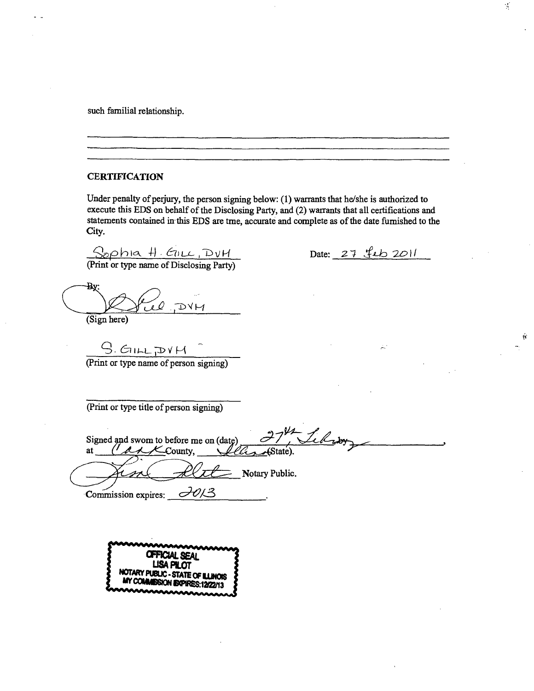such familial relationship.

#### **CERTIFICATION**

Under penalty of perjury, the person signing below: (1) warrants that he/she is authorized to execute this EDS on behalf of the Disclosing Party, and (2) warrants that all certifications and statements contained in this EDS are tme, accurate and complete as of the date fumished to the City.

 $S$ ophia  $H$ . ETILL, DVH.

Date: 27 feb 2011

(Print or type name of Disclosing Party)

Ъ.  $H$ (Sign here)

 $G.E111 F DY H$ <br>(Print or type name of person signing)

(Print or type title of person signing)

Signed and swom to before me on (date) <sup>27</sup>/ *Leb<sub>1</sub>*by at (*d. A. County, <i>Lebia* Assae).  $\chi$ County, An Alter Commission expires:  $\equiv$  Notary Public.



 $\mathcal{D}$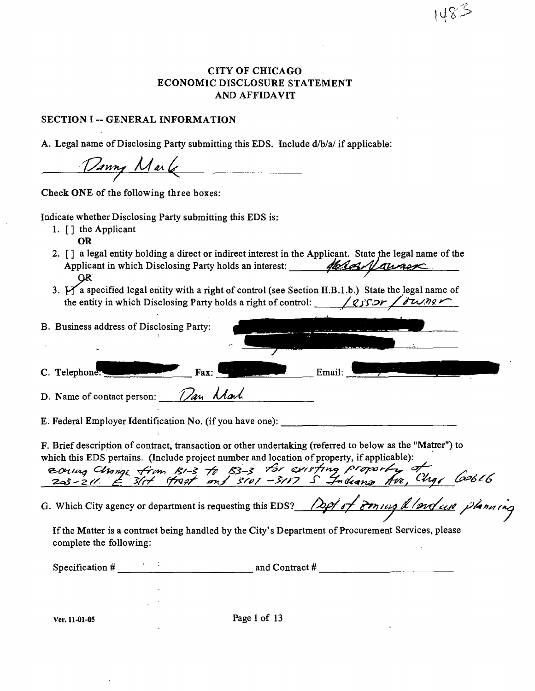# CITY OF CHICAGO ECONOMIC DISCLOSURE STATEMENT AND AFFIDAVIT

 $148.5$ 

#### **SECTION I -- GENERAL INFORMATION**

A. Legal name of Disclosing Party submitting this EDS. Include d/b/a/ if applicable:

Danny Mark

Check ONE of the following three boxes:

Indicate whether Disclosing Party submitting this EDS is:

1.  $\lceil \cdot \rceil$  the Applicant OR

*2. [] a legal entity holding a direct or indirect interest in the Applicant. State the legal name of the*  Applicant in which Disclosing Party holds an interest: */hlass Vaurex* 

*3. Ha specified legal entity with a right of conttol (see Section II.B. 1 .b.) State the legal name of the entity in which Disclosing Party holds a right of control: / 2550r/J*  $\overline{\theta w}$  */*  $\overline{\theta}$ 

| B. Business address of Disclosing Party: |                          |                                                                                                                         |        |  |
|------------------------------------------|--------------------------|-------------------------------------------------------------------------------------------------------------------------|--------|--|
|                                          | $\overline{\phantom{a}}$ |                                                                                                                         |        |  |
| C. Telephone:<br>$\mathbf{Fax}:$         |                          | <u>and the second second second second second second second second second second second second second second second</u> | Email: |  |
|                                          |                          |                                                                                                                         |        |  |

*D.* Name of contact person: *f/an Mark* 

E. Federal Employer Identification No. (if you have one):

F. Brief description of contract, transaction or other undertaking (referred to below as the "Matrer") to which this EDS pertains. (Include project number and location of property, if applicable):

*-z^S^^fy d Vr/ (p<ic7 -2y^2 -T ^a/c<tj^ /fyf. , ^-/yy 6^6 y6* 

G. Which City agency or department is requesting this EDS? *(29/07 For lug & /prof cese plann (ng*)

Ifthe Matter is a contract being handled by the City's Department of Procurement Services, please complete the following:

| Specification # | and Contract # |  |
|-----------------|----------------|--|
|                 |                |  |

Ver. 11-01-05 Page 1 of 13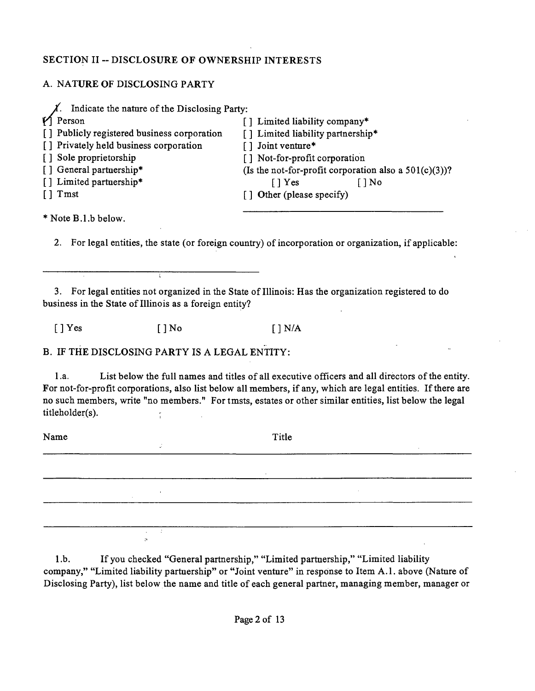# **SECTION II ~ DISCLOSURE OF OWNERSHIP INTERESTS**

# A. NATURE OF DISCLOSING PARTY

| Indicate the nature of the Disclosing Party: |                                                          |
|----------------------------------------------|----------------------------------------------------------|
| $\mathbf{V}$ Person                          | [] Limited liability company*                            |
| [] Publicly registered business corporation  | [] Limited liability partnership*                        |
| [] Privately held business corporation       | [] Joint venture*                                        |
| [] Sole proprietorship                       | [] Not-for-profit corporation                            |
| [] General partnership*                      | (Is the not-for-profit corporation also a $501(c)(3)$ )? |
| [] Limited partnership*                      | $\lceil \, \rceil$ Yes<br>I I No                         |
| $\lceil \cdot \rceil$ Tmst                   | [] Other (please specify)                                |
|                                              |                                                          |

\* Note B.l.b below.

2. For legal entities, the state (or foreign country) of incorporation or organization, if applicable:

3. For legal entities not organized in the State of Illinois: Has the organization registered to do business in the State of Illinois as a foreign entity?

 $[ ]$  Yes  $[ ]$  No  $[ ]$  N/A

B. IF THE DISCLOSING PARTY IS A LEGAL ENTITY:

l.a. List below the full names and titles of all executive officers and all directors ofthe entity. For not-for-profit corporations, also list below all members, if any, which are legal entities. If there are no such members, write "no members." For tmsts, estates or other similar entities, list below the legal titleholder(s).

Name Title the contract of the contract of the contract of the contract of the contract of 

1 .b. If you checked "General partnership," "Limited partaership," "Limited liability company," "Limited liability partaership" or "Joint ventare" in response to Item A.l . above (Natare of Disclosing Party), list below the name and title of each general partner, managing member, manager or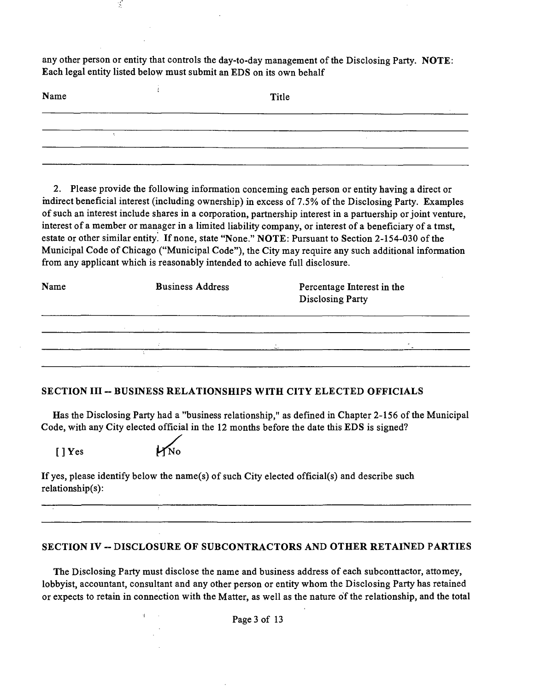any other person or entity that controls the day-to-day management ofthe Disclosing Party. NOTE: Each legal entity listed below must submit an EDS on its own behalf

| Name |  | Title |  |  |
|------|--|-------|--|--|
|      |  |       |  |  |
|      |  |       |  |  |
|      |  |       |  |  |

2. Please provide the following information conceming each person or entity having a direct or mdirect beneficial interest (including ownership) in excess of 7.5% of the Disclosing Party. Examples of such an interest include shares in a corporation, partnership interest in a partaership or joint ventare, interest of a member or manager in a limited liability company, or interest of a beneficiary of a tmst, estate or other similar entity. If none, state "None." NOTE: Pursuant to Section 2-154-030 of the Municipal Code of Chicago ("Municipal Code"), the City may require any such additional information from any applicant which is reasonably intended to achieve full disclosure.

| Name | <b>Business Address</b> | Percentage Interest in the<br><b>Disclosing Party</b> |  |
|------|-------------------------|-------------------------------------------------------|--|
|      | of the company of the   |                                                       |  |
|      | ÷.                      | $\sim$                                                |  |
|      |                         |                                                       |  |

# **SECTION III -- BUSINESS RELATIONSHIPS WITH CITY ELECTED OFFICIALS**

Has the Disclosing Party had a "business relationship," as defined in Chapter 2-156 ofthe Municipal Code, with any City elected official in the 12 months before the date this EDS is signed?

[]Yes

Ý,

If yes, please identify below the name(s) of such City elected official(s) and describe such relationship(s):

# **SECTION IV ~ DISCLOSURE OF SUBCONTRACTORS AND OTHER RETAINED PARTIES**

The Disclosing Party must disclose the name and business address of each subconttactor, attomey, lobbyist, accountant, consultant and any other person or entity whom the Disclosing Party has retained or expects to retain in connection with the Matter, as well as the nature of the relationship, and the total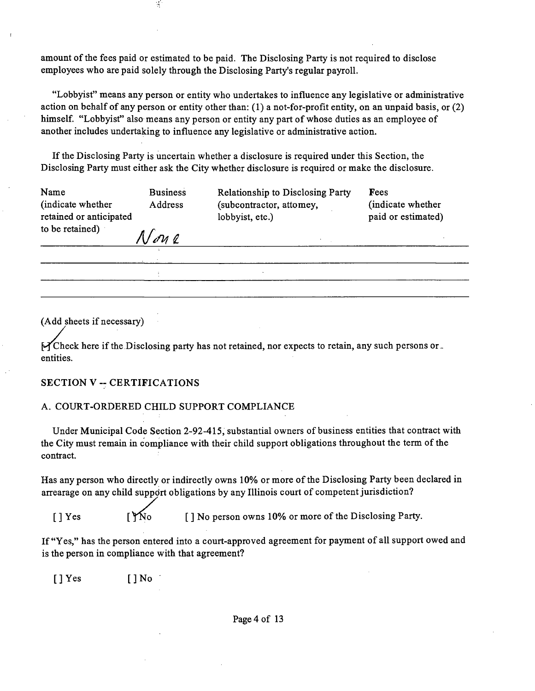amount of the fees paid or estimated to be paid. The Disclosing Party is not required to disclose employees who are paid solely through the Disclosing Party's regular payroll.

"Lobbyist" means any person or entity who undertakes to influence any legislative or administrative action on behalf of any person or entity other than: (1) a not-for-profit entity, on an unpaid basis, or (2) himself. "Lobbyist" also means any person or entity any part of whose duties as an employee of another includes undertaking to influence any legislative or administtative action.

Ifthe Disclosing Party is uncertain whether a disclosure is required under this Section, the Disclosing Party must either ask the City whether disclosure is required or make the disclosure.

| Name<br>(indicate whether)<br>retained or anticipated | <b>Business</b><br>Address | <b>Relationship to Disclosing Party</b><br>(subcontractor, attomey,<br>lobbyist, etc.) | Fees<br>(indicate whether<br>paid or estimated) |
|-------------------------------------------------------|----------------------------|----------------------------------------------------------------------------------------|-------------------------------------------------|
| to be retained)                                       | N on e                     |                                                                                        |                                                 |
|                                                       |                            |                                                                                        |                                                 |

 $\bar{\Delta}$ 

(Add sheets if necessary)

 $\mathcal{H}$ Check here if the Disclosing party has not retained, nor expects to retain, any such persons orentities.

#### **SECTION V ~ CERTIFICATIONS**

#### A. COURT-ORDERED CHILD SUPPORT COMPLIANCE

 $\boldsymbol{\tau}$ 

 $\frac{1}{\sqrt{2}}$ 

Under Municipal Code Section 2-92-415, substantial owners of business entities that conttact with the City must remain in compliance with their child support obligations throughout the term of the contract.

Has any person who directly or indirectly owns 10% or more of the Disclosing Party been declared in arrearage on any child support obligations by any Illinois court of competent jurisdiction?

[ ] Yes [  $\gamma$ No [ ] No person owns 10% or more of the Disclosing Party.

If "Yes," has the person entered into a court-approved agreement for payment of all support owed and is the person in compliance with that agreement?

[]Yes []No

Page 4 of 13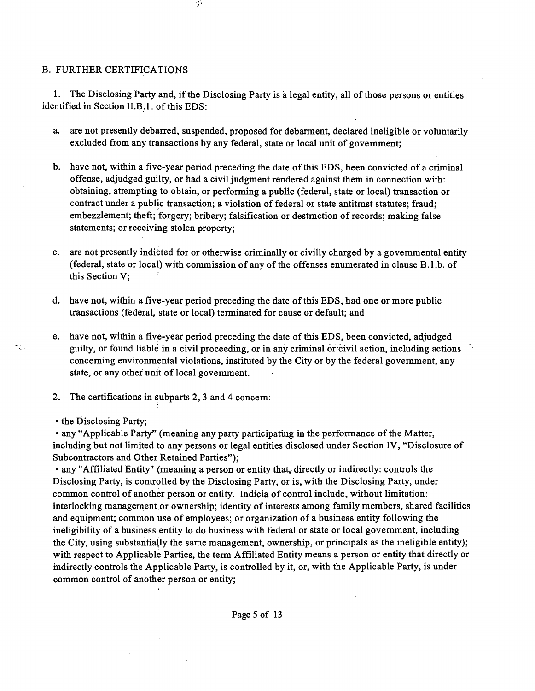# B. FURTHER CERTIFICATIONS

1. The Disclosing Party and, if the Disclosing Party is a legal entity, all of those persons or entities identified m Section II.B.l. of this EDS:

 $\mathcal{I}$ 

- a. are not presently debarred, suspended, proposed for debarment, declared ineligible or voluntarily excluded from any transactions by any federal, state or local unit of govemment;
- b. have not, within a five-year period preceding the date of this EDS, been convicted of a criminal offense, adjudged guilty, or had a civil judgment rendered against them in connection with: obtaining, attempting to obtain, or performing a pubUc (federal, state or local) transaction or contract under a public transaction; a violation of federal or state antitmst statutes; fraud; embezzlement; theft; forgery; bribery; falsification or destmction of records; making false statements; or receiving stolen property;
- c. are not presently indicted for or otherwise criminally or civilly charged by a govemmental entity (federal, state or local) with commission of any of the offenses enumerated in clause B.l.b. of this Section V;
- d. have not, within a five-year period preceding the date of this EDS, had one or more public transactions (federal, state or local) terminated for cause or default; and
- e. have not, within a five-year period preceding the date of this EDS, been convicted, adjudged guilty, or found liable in a civil proceeding, or in any criminal of civil action, including actions conceming environmental violations, institated by the City or by the federal govemment, any state, or any other unit of local govemment.
- 2. The certifications in subparts 2, 3 and 4 concem:
- the Disclosing Party;

• any "Applicable Party" (meaning any party participating in the performance of the Matter, including but not limited to any persons or legal entities disclosed under Section IV, "Disclosure of Subcontractors and Other Retained Parties");

• any 'Affiliated Entity" (meaning a person or entity that, directly or mdirectly: controls the Disclosing Party, is controlled by the Disclosing Party, or is, with the Disclosing Party, under common conttol of another person or entity. Indicia of conttol include, without limitation: interlocking management or ownership; identity of interests among family members, shared facilities and equipment; common use of employees; or organization of a business entity following the ineligibility of a business entity to do business with federal or state or local govemment, including the City, using substantially the same management, ownership, or principals as the ineligible entity); with respect to Applicable Parties, the term Affiliated Entity means a person or entity that directly or mdirectly controls the Applicable Party, is controlled by it, or, with the Applicable Party, is under common conttol of another person or entity;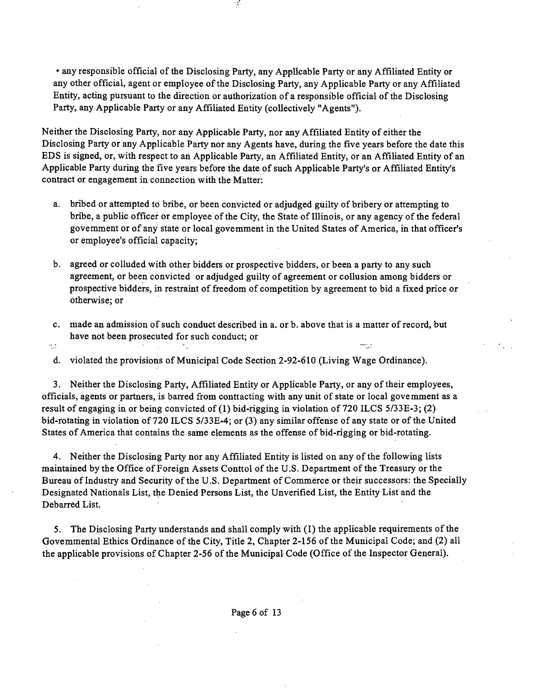• any responsible official of the Disclosing Party, any Applicable Party or any Affiliated Entity or any other official, agent or employee of the Disclosing Party, any Applicable Party or any Affiliated Entity, acting pursuant to the direction or authorization of a responsible official of the Disclosing Party, any Applicable Party or any Affiliated Entity (collectively "Agents").

 $\frac{1}{2}$ 

Neither the Disclosing Party, nor any Applicable Party, nor any Affiliated Entity of either the Disclosing Party or any Applicable Party nor any Agents have, during the five years before the date this EDS is signed, or, with respect to an Applicable Party, an Affiliated Entity, or an Affiliated Entity of an Applicable Party during the five years before the date of such Applicable Party's or Affiliated Entity's contract or engagement in connection with the Matter:

- a. bribed or attempted to bribe, or been convicted or adjudged guilty of bribery or attempting to bribe, a public officer or employee of the City, the State of Illinois, or any agency of the federal govemment or of any state or local govemment in the United States of America, in that officer's or employee's official capacity;
- b. agreed or colluded with other bidders or prospective bidders, or been a party to any such agreement, or been convicted or adjudged guilty of agreement or collusion among bidders or prospective bidders, in restraint of freedom of competition by agreement to bid a fixed price or otherwise; or
- c. made an admission of such conduct described in a. or b. above that is a matter of record, but have not been prosecuted for such conduct; or
- πþ

d. violated the provisions of Municipal Code Section 2-92-610 (Living Wage Ordinance).

3. Neither the Disclosing Party, Affiliated Entity or Applicable Party, or any of their employees, officials, agents or partners, is barred from conttacting with any unit of state or local govemment as a result of engaging in or being convicted of (1) bid-rigging in violation of 720 ILCS 5/33E-3; (2) bid-rotating in violation of 720 ILCS 5/33E-4; or (3) any similar offense of any state or of the United States of America that contains the same elements as the offense of bid-rigging or bid-rotating.

4. Neither the Disclosing Party nor any Affiliated Entity is listed on any of the following lists maintained by the Office of Foreign Assets Conttol of the U.S. Department of the Treasury or the Bureau of Industry and Security of the U.S. Department of Commerce or their successors: the Specially Designated Nationals List, the Denied Persons List, the Unverified List, the Entity List and the Debarred List.

5. The Disclosing Party understands and shall comply with (I) the applicable requirements of the Govemmental Ethics Ordinance of the City, Title 2, Chapter 2-156 of the Municipal Code; and (2) all the applicable provisions of Chapter 2-56 of the Municipal Code (Office of the Inspector General).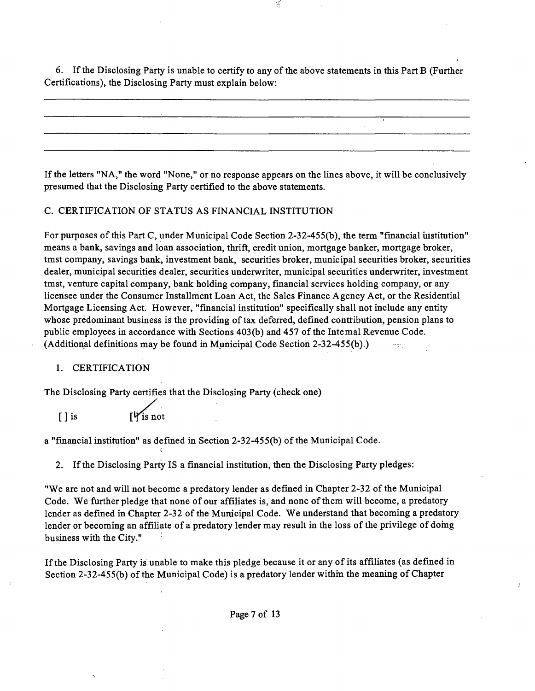6. If the Disclosing Party is unable to certify to any of the above statements in this Part B (Further Certifications), the Disclosing Party must explain below:

 $\mathcal{A}$ 

If the letters "NA," the word "None," or no response appears on the lines above, it will be conclusively presumed that the Disclosing Party certified to the above statements.

#### C. CERTIFICATION OF STATUS AS FINANCIAL INSTITUTION

For purposes of this Part C, under Municipal Code Section 2-32-455(b), the term "financial uistitation" means a bank, savings and loan association, thrift, credit union, mortgage banker, mortgage broker, tmst company, savings bank, investment bank, securities broker, municipal securities broker, securities dealer, municipal securities dealer, securities underwriter, municipal securities underwriter, investment tmst, venture capital company, bank holding company, financial services holding company, or any licensee under the Consumer Installment Loan Act, the Sales Finance Agency Act, or the Residential Mortgage Licensing Act. However, "financial institution" specifically shall not include any entity whose predominant business is the providing of tax deferred, defined contribution, pension plans to public employees in accordance with Sections 403(b) and 457 of the Intemal Revenue Code. (Additional definitions may be found in Municipal Code Section 2-32-455(b).)  $\sim$   $\sim$ 

#### 1. CERTIFICATION

The Disclosing Party certifies that the Disclosing Party (check one)

 $[ ]$  is

a "financial instimtion" as defined in Section 2-32-455(b) of the Municipal Code.

2. If the Disclosing Party IS a financial institution, then the Disclosing Party pledges:

"We are not and will not become a predatory lender as defined in Chapter 2-32 of the Municipal Code. We further pledge that none of our affiliates is, and none of them will become, a predatory lender as defined in Chapter 2-32 of the Municipal Code. We understand that becoming a predatory lender or becoming an affiliate of a predatory lender may result in the loss of the privilege of domg business with the City."

If the Disclosing Party is unable to make this pledge because it or any of its affiliates (as defined in Section 2-32-455(b) of the Municipal Code) is a predatory lender within the meaning of Chapter

Page 7 of 13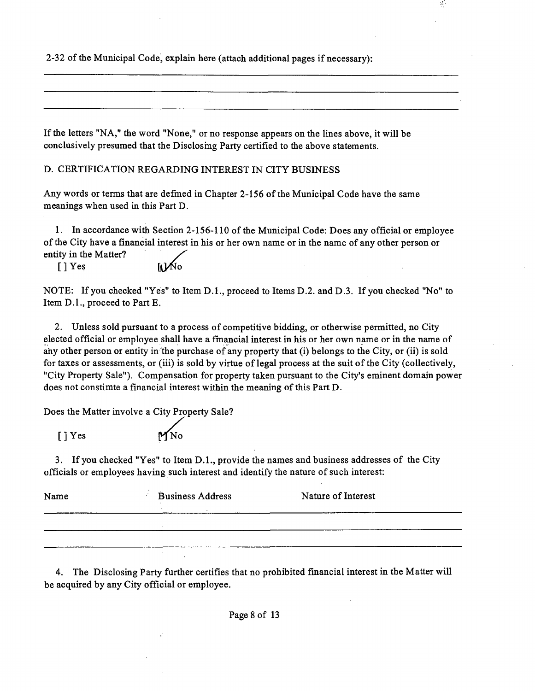2-32 of the Municipal Code, explain here (attach additional pages if necessary):

If the letters "NA," the word "None," or no response appears on the lines above, it will be conclusively presumed that the Disclosmg Party certified to the above statements.

D. CERTIFICATION REGARDING INTEREST IN CITY BUSINESS

Any words or terms that are defined in Chapter 2-156 of the Municipal Code have the same meanings when used in this Part D.

1. In accordance with Section 2-156-110 of the Municipal Code: Does any official or employee ofthe City have a financial interest in his or her own name or in the name of any other person or entity in the Matter?

 $\frac{1}{2}$ 

[] Yes

NOTE: If you checked "Yes" to Item D.L, proceed to Items D.2. and D.3. If you checked "No" to Item D.l. , proceed to Part E.

2. Unless sold pursuant to a process of competitive bidding, or otherwise permitted, no City elected official or employee shall have a fmancial interest in his or her own name or in the name of any other person or entity in the purchase of any property that (i) belongs to the City, or (ii) is sold for taxes or assessments, or (iii) is sold by virtue of legal process at the suit of the City (collectively, "City Property Sale"). Compensation for property taken pursuant to the City's eminent domain power does not constimte a financial interest within the meaning of this Part D.

Does the Matter involve a City Property Sale?

 $[$  ] Yes

3. If you checked "Yes" to Item D.L, provide the names and business addresses of the City officials or employees having such interest and identify the natare of such interest:

| Name | <b>Business Address</b> | Nature of Interest |
|------|-------------------------|--------------------|
|      |                         |                    |
|      |                         |                    |
|      |                         |                    |

4. The Disclosing Party further certifies that no prohibited financial interest in the Matter will be acquired by any City official or employee.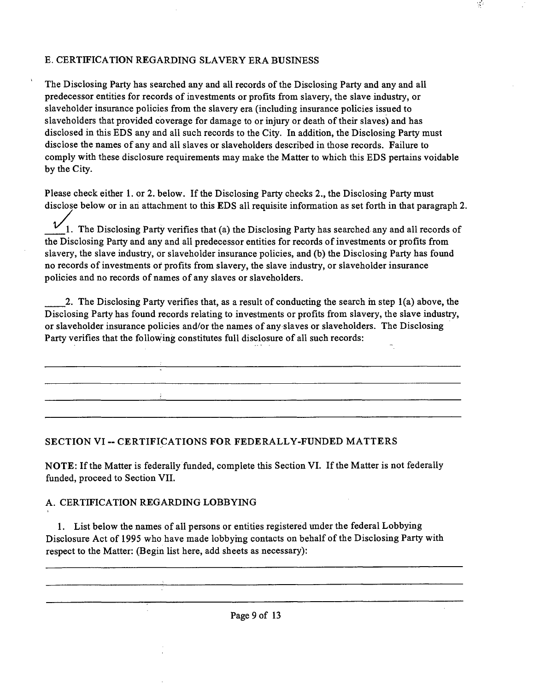# E. CERTIFICATION REGARDING SLAVERY ERA BUSINESS

The Disclosing Party has searched any and all records of the Disclosing Party and any and all predecessor entities for records of investments or profits from slavery, the slave industry, or slaveholder insurance policies from the slavery era (including insurance policies issued to slaveholders that provided coverage for damage to or injury or death of their slaves) and has disclosed in this EDS any and all such records to the City. In addition, the Disclosing Party must disclose the names of any and all slaves or slaveholders described in those records. Failure to comply with these disclosure requirements may make the Matter to which this EDS pertains voidable by the City.

 $\frac{1}{2}$ 

Please check either 1. or 2. below. If the Disclosing Party checks 2., the Disclosing Party must disclose below or in an attachment to this EDS all requisite information as set forth in that paragraph 2.

 $\overline{\nu}$ 1. The Disclosing Party verifies that (a) the Disclosing Party has searched any and all records of the Disclosing Party and any and all predecessor entities for records of investments or profits from slavery, the slave industry, or slaveholder insurance policies, and (b) the Disclosing Party has found no records of investments or profits from slavery, the slave industry, or slaveholder insurance policies and no records of names of any slaves or slaveholders.

2. The Disclosing Party verifies that, as a result of conducting the search m step 1(a) above, the Disclosing Party has found records relating to investments or profits from slavery, the slave industry, or slaveholder insurance policies and/or the names of any slaves or slaveholders. The Disclosing Party verifies that the following constimtes full disclosure of all such records:

<u> 1980 - Jan James James Santan (h. 1980).</u>

# **SECTION VI - CERTIFICATIONS FOR FEDERALLY-FUNDED MATTERS**

NOTE: If the Matter is federally funded, complete this Section VI. Ifthe Matter is not federally funded, proceed to Section VII.

#### A. CERTIFICATION REGARDING LOBBYING

**Contact Contact** 

1. List below the names of all persons or entities registered under the federal Lobbying Disclosure Act of 1995 who have made lobbymg contacts on behalf of the Disclosing Party with respect to the Matter: (Begin list here, add sheets as necessary):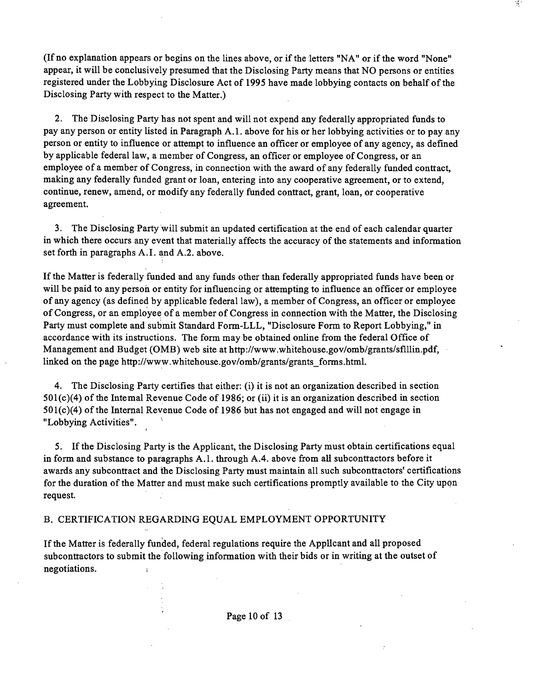(If no explanation appears or begins on the lines above, or if the letters "NA" or if the word "None" appear, it will be conclusively presumed that the Disclosing Party means that NO persons or entities registered under the Lobbying Disclosure Act of 1995 have made lobbying contacts on behalf of the Disclosing Party with respect to the Matter.)

2. The Disclosing Party has not spent and will not expend any federally appropriated funds to pay any person or entity listed in Paragraph A. 1. above for his or her lobbying activities or to pay any person or entity to influence or attempt to influence an officer or employee of any agency, as defined by applicable federal law, a member of Congress, an officer or employee of Congress, or an employee of a member of Congress, in connection with the award of any federally funded conttact, making any federally funded grant or loan, entering into any cooperative agreement, or to extend, continue, renew, amend, or modify any federally funded conttact, grant, loan, or cooperative agreement.

3. The Disclosing Party will submit an updated certification at the end of each calendar quarter in which there occurs any event that materially affects the accuracy of the statements and information set forth in paragraphs A.I. and A.2. above.

If the Matter is federally funded and any funds other than federally appropriated funds have been or will be paid to any person or entity for influencing or attempting to influence an officer or employee of any agency (as defined by applicable federal law), a member of Congress, an officer or employee of Congress, or an employee of a member of Congress in connection with the Matter, the Disclosing Party must complete and submit Standard Form-LLL, "Disclosure Form to Report Lobbying," in accordance with its instmctions. The form may be obtained online from the federal Office of Management and Budget (OMB) web site at http://www.whitehouse.gov/omb/grants/sflllin.pdf, linked on the page http://www.whitehouse.gov/omb/grants/grants\_forms.html.

4. The Disclosing Party certifies that either: (i) it is not an organization described in section  $501(c)(4)$  of the Intemal Revenue Code of 1986; or (ii) it is an organization described in section  $501(c)(4)$  of the Internal Revenue Code of 1986 but has not engaged and will not engage in "Lobbying Activities".

5. If the Disclosing Party is the Applicant, the Disclosing Party must obtain certifications equal in form and substance to paragraphs A.1. through A.4. above from all subconttactors before it awards any subconttact and the Disclosing Party must maintain all such subconttactors' certifications for the duration of the Matter and must make such certifications promptly available to the City upon request.

#### B. CERTIFICATION REGARDING EQUAL EMPLOYMENT OPPORTUNITY

If the Matter is federally funded, federal regulations require the Applicant and all proposed subconttactors to submit the following information with their bids or in writing at the outset of negotiations.  $\mathbf{r}$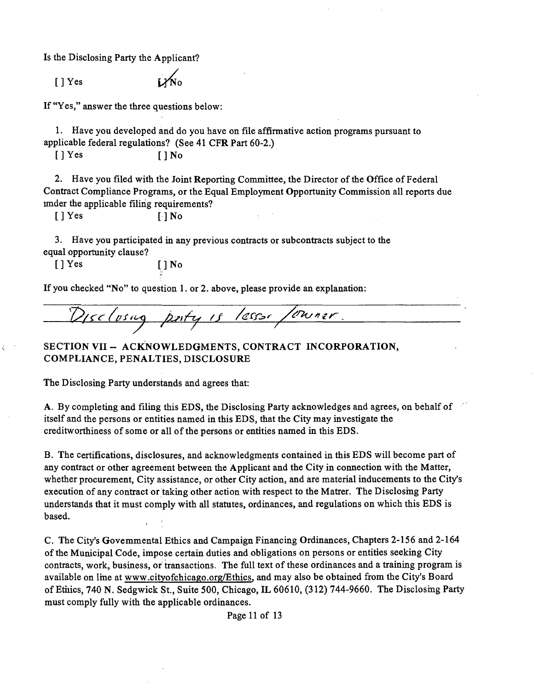Is the Disclosing Party the Applicant?

 $[ ]$  Yes

If "Yes," answer the three questions below:

1. Have you developed and do you have on file affirmative action programs pursuant to applicable federal regulations? (See 41 CFR Part 60-2.)

 $[ ] Yes$   $[ ] No$ 

2. Have you filed with the Joint Reporting Committee, the Director of the Office of Federal Conttact Compliance Programs, or the Equal Employment Opportunity Commission all reports due imder the applicable filing requirements?

ċ

[] Yes [] No

3. Have you participated in any previous contracts or subconttacts subject to the equal opportanity clause?

[]Yes []No

If you checked "No" to question 1. or 2. above, please provide an explanation:

Disclusing party is lesser /uwner.

**SECTION VII - ACKNOWLEDGMENTS, CONTRACT INCORPORATION, COMPLIANCE, PENALTIES, DISCLOSURE** 

The Disclosing Party understands and agrees that:

A. By completing and filing this EDS, the Disclosing Party acknowledges and agrees, on behalf of itself and the persons or entities named in this EDS, that the City may investigate the creditworthiness of some or all of the persons or entities named in this EDS.

B. The certifications, disclosures, and acknowledgments contained in this EDS will become part of any contract or other agreement between the Applicant and the City in connection with the Matter, whether procurement. City assistance, or other City action, and are material inducements to the City's execution of any conttact or taking other action with respect to the Matter. The Disclosmg Party understands that it must comply with all statates, ordinances, and regulations on which this EDS is based.

C. The City's Govemmental Ethics and Campaign Financing Ordinances, Chapters 2-156 and 2-164 of the Municipal Code, impose certain duties and obligations on persons or entities seeking City contracts, work, business, or transactions. The full text of these ordinances and a training program is available on Ime at www .cityofchicago .org/Ethics. and may also be obtained from the City's Board of Ethics, 740 N. Sedgwick St., Suite 500, Chicago, IL 60610, (312) 744-9660. The Disclosing Party must comply fully with the applicable ordinances.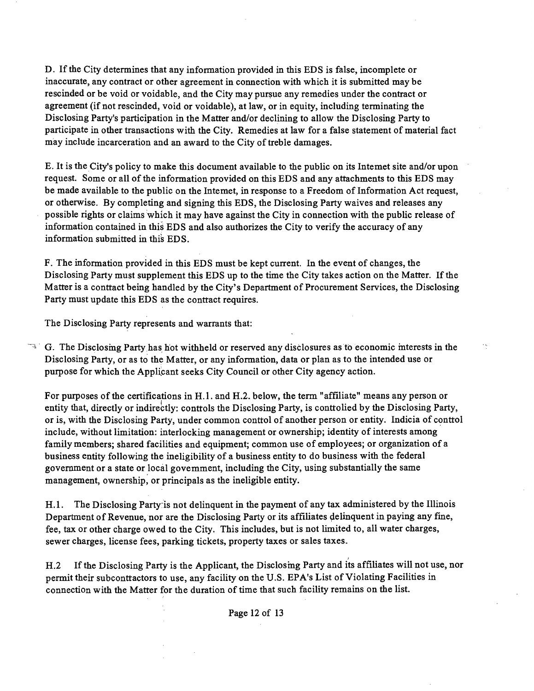D. If the City determines that any information provided in this EDS is false, incomplete or inaccurate, any contract or other agreement in connection with which it is submitted may be rescinded or be void or voidable, and the City may pursue any remedies under the contract or agreement (if not rescinded, void or voidable), at law, or in equity, including terminating the Disclosing Party's participation in the Matter and/or declining to allow the Disclosing Party to participate in other transactions with the City. Remedies at law for a false statement of material fact may include incarceration and an award to the City of treble damages.

E. It is the City's policy to make this document available to the public on its Intemet site and/or upon request. Some or all of the information provided on this EDS and any attachments to this EDS may be made available to the public on the Intemet, in response to a Freedom of Information Act request, or otherwise. By completing and signing this EDS, the Disclosing Party waives and releases any possible rights or claims which it may have against the City in connection with the public release of information contained in this EDS and also authorizes the City to verify the accuracy of any information submitted in this EDS.

F. The information provided in this EDS must be kept current. In the event of changes, the Disclosing Party must supplement this EDS up to the time the City takes action on the Matter. If the Matter is a conttact being handled by the City's Department of Procurement Services, the Disclosing Party must update this EDS as the conttact requires.

The Disclosing Party represents and warrants that:

 $\sim$  G. The Disclosmg Party has hot withheld or reserved any disclosures as to economic mterests in the Disclosing Party, or as to the Matter, or any information, data or plan as to the intended use or purpose for which the Applicant seeks City Council or other City agency action.

For purposes of the certifications in H.1. and H.2. below, the term "affiliate" means any person or entity that, directly or indirectly: controls the Disclosing Party, is controlied by the Disclosing Party, or is, with the Disclosing Party, under common conttol of another person or entity. Indicia of conttol include, without limitation: interlocking management or ownership; identity of interests among family members; shared facilities and equipment; common use of employees; or organization of a business entity following the ineligibility of a business entity to do business with the federal government or a state or local govemment, including the City, using substantially the same management, ownership, or principals as the ineligible entity.

H.1. The Disclosing Party is not delinquent in the payment of any tax administered by the Illinois Department of Revenue, nor are the Disclosing Party or its affiliates delinquent in paying any fine, fee, tax or other charge owed to the City. This includes, but is not limited to, all water charges, sewer charges, license fees, parking tickets, property taxes or sales taxes.

H.2 If the Disclosing Party is the Applicant, the Disclosing Party and its affiliates will not use, nor permit their subconttactors to use, any facility on the U.S. EPA's List of Violating Facilities in connection with the Matter for the duration of time that such facility remains on the list.

Page 12 of 13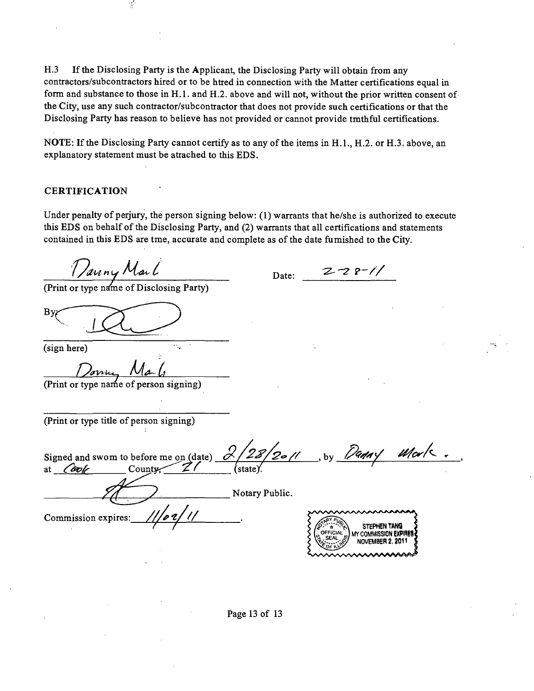H.3 If the Disclosing Party is the Applicant, the Disclosing Party will obtain from any contractors/subconttactors hired or to be htted in connection with the Matter certifications equal in form and substance to those in H.1. and H.2. above and will not, without the prior written consent of the City, use any such conttactor/subconttactor that does not provide such certifications or that the Disclosing Party has reason to believe has not provided or cannot provide tmthful certifications.

NOTE: If the Disclosing Party cannot certify as to any of the items in H.1., H.2. or H.3. above, an explanatory statement must be attached to this EDS.

#### **CERTIFICATION**

Under penalty of perjury, the person signing below: (1) warrants that he/she is authorized to execute this EDS on behalf of the Disclosing Party, and (2) warrants that all certifications and statements contained in this EDS are tme, accurate and complete as of the date fumished to the City.

Date: 27<sup>2</sup> P<sup>-</sup>// (Print or type name of Disclosing Party) By (sign here) (Print or type name of person signing) (Print or type title of person signing) Signed and swom to before me on (date) at  $\overline{\text{Cov}_k}$  County;  $\overline{Z}$  / (state). Notary Public. **^**  *Commission expires: ///02/* **STEPHEN TANG** MY COMMISSION EXPIRE **NOVEMBER 2, 2011**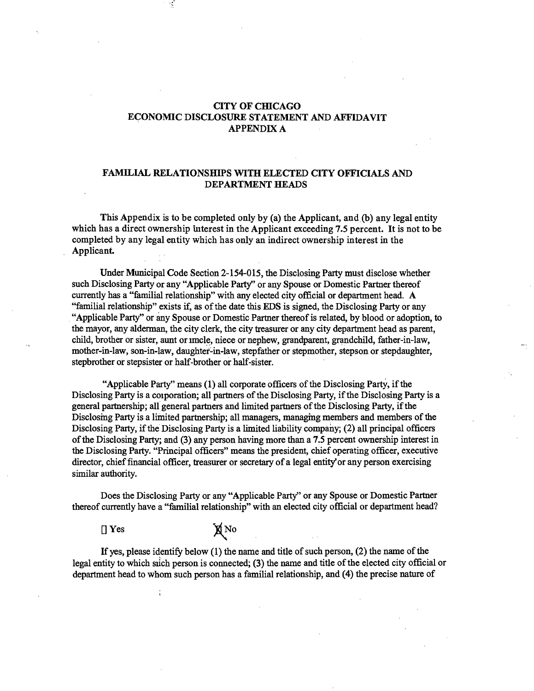#### **CITY OF CHICAGO ECONOMIC DISCLOSURE STATEMENT AND AFFIDAVIT APPENDIX A**

#### **FAMILIAL RELATIONSHIPS WITH ELECTED CITY OFFICIALS AND DEPARTMENT HEADS**

**This Appendix is to be completed only by (a) the Applicant, and (b) any legal entity which has a direct ownership uiterest in the Applicant exceeding 7.5 percent. It is not to be completed by any legal entity which has only an indirect ownership interest in the**  Applicant.

Under Municipal Code Section 2-154-015, the Disclosing Party must disclose whether such Disclosing Party or any "Applicable Party' or any Spouse or Domestic Partaer thereof currently has a "familial relationship" with any elected city official or department head. A "familial relationship" exists if, as of the date this EDS is signed, the Disclosing Party or any "Applicable Party" or any Spouse or Domestic Partner thereof is related, by blood or adoption, to the mayor, any alderman, the city clerk, the city treasurer or any city department head as parent, child, brother or sister, aunt or imcle, niece or nephew, grandparent, grandchild, father-in-law, mother-in-law, son-in-law, daughter-in-law, stepfather or stepmother, stepson or stepdaughter, stepbrother or stepsister or half-brother or half-sister.

"Applicable Party" means (1) all corporate officers of the Disclosing Party, if the Disclosing Party is a corporation; all partners of the Disclosing Party, if the Disclosing Party is a general partaership; all general partaers and limited partaers of the Disclosing Party, if the Disclosing Party is a limited partnership; all managers, managing members and members of the Disclosing Party, if the Disclosing Party is a limited liability company; (2) all principal officers ofthe Disclosing Party; and (3) any person having more than a 7.5 percent ownership interest in the Disclosing Party. "Principal officers" means the president, chief operating officer, executive director, chief financial officer, treasurer or secretary of a legal entity or any person exercising similar authority.

Does the Disclosing Party or any "Applicable Party" or any Spouse or Domestic Partner thereof currently have a "familial relationship" with an elected city official or department head?

 $[] Yes$   $\qquad \qquad \chi$ No

If yes, please identify below  $(1)$  the name and title of such person,  $(2)$  the name of the legal entity to which sich person is connected; (3) the name and title of the elected city official or department head to whom such person has a familial relationship, and (4) the precise nature of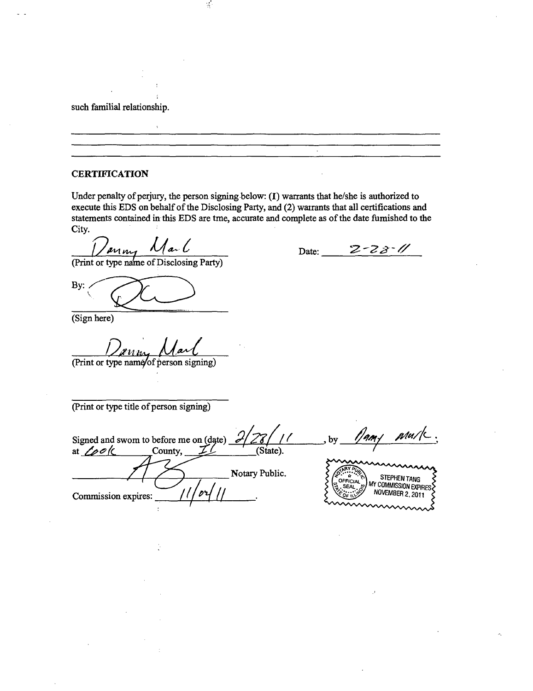such familial relationship.

#### **CERTIFICATION**

Under penalty of perjury, the person signing below: (I) warrants that he/she is authorized to execute this EDS on behalf of the Disclosing Party, and (2) wairants that all certifications and statements contained in this EDS are tme, accurate and complete as of the date fumished to the City.

 $\frac{1}{2}$ 

Date:  $2 - 2 - 3 - 1/$ 

(Print or type name of Disclosing Party)

By:

(Sign here)

(Print or type name/of person signing)

(Print or type title of person signing)

by  $\frac{1}{4}$  amy Signed and swom to before me on (date) at  $\angle \rho \circ \langle$  County,  $\angle$  (State) Notary Public. STEPHEN TANG<br>MY COMMISSION EXPIRES OFFICIAL NOVEMBER 2, 2011 *Commission expures: / ( jl j*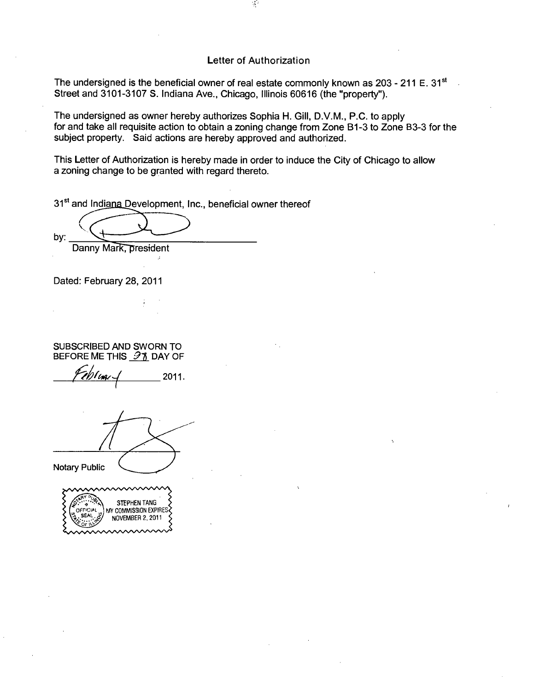#### **Letter of Authorization**

The undersigned is the beneficial owner of real estate commonly known as  $203 - 211 E$ . 31<sup>st</sup> Street and 3101-3107 S. Indiana Ave., Chicago, Illinois 60616 (the "property").

The undersigned as owner hereby authorizes Sophia H. Gill, D.V.M., P.C. to apply for and take all requisite action to obtain a zoning change from Zone Bl-3 to Zone B3-3 for the subject property. Said actions are hereby approved and authorized.

This Letter of Authorization is hereby made in order to induce the City of Chicago to allow a zoning change to be granted with regard thereto.

31<sup>st</sup> and Indiana Development, Inc., beneficial owner thereof

by:

Danny Mark, president

Dated: February 28, 2011

SUBSCRIBED AND SWORN TO BEFORE ME THIS  $\partial$  1 DAY OF

*7l?fh(i^* 2011.

**Notary Public** 

| <b>STEPHEN TANG</b><br>MY COMMISSION EXPIRES<br>NOVEMBER 2, 2011 |
|------------------------------------------------------------------|
|                                                                  |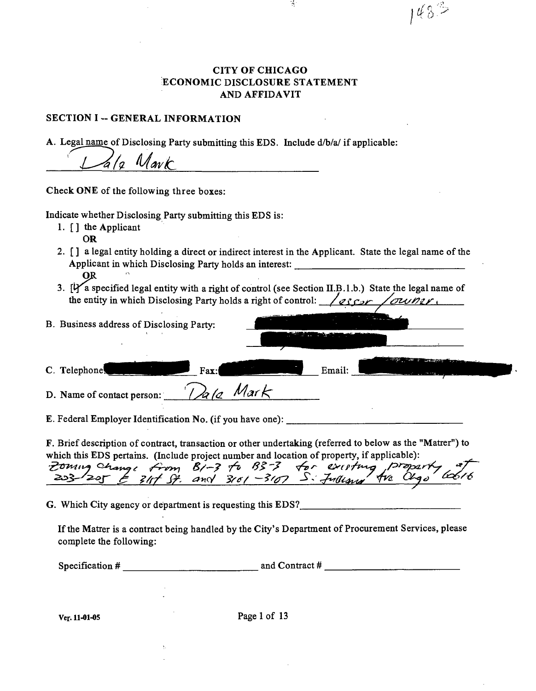# **CITY OF CHICAGO ECONOMIC DISCLOSURE STATEMENT AND AFFIDAVIT**

ń,

 $148^{\circ}$ 

# **SECTION I -- GENERAL INFORMATION**

A. Legal name of Disclosing Party submitting this EDS. Include d/b/a/ if applicable:

*a/2 Mark* **Check ONE of the following three boxes:**  Indicate whether Disclosing Party submitting this EDS is: 1. [ ] the Applicant OR 2. [ ] a legal entity holding a durect or indirect interest in the Applicant. State the legal name of the

**OJ**  3. [Y a specified legal entity with a right of control (see Section II.B.1.b.) State the legal name of the entity in which Disclosing Party holds a right of control:  $\sqrt{q\rho\gamma}$ 

Applicant in which Disclosing Party holds an interest:

| B. Business address of Disclosing Party:                                                                  |           | and a strong state<br>and the contract of |  |
|-----------------------------------------------------------------------------------------------------------|-----------|-------------------------------------------|--|
| C. Telephone.                                                                                             | Fax:      | Email:                                    |  |
| D. Name of contact person:                                                                                | Dala Mark |                                           |  |
| E. Federal Employer Identification No. (if you have one):                                                 |           |                                           |  |
| F. Brief description of contract, transaction or other undertaking (referred to below as the "Matrer") to |           |                                           |  |

|  | which this EDS pertains. (Include project number and location of property, if applicable): |  |
|--|--------------------------------------------------------------------------------------------|--|
|  |                                                                                            |  |
|  | Zoming change from B1-3 to B3-3 for existing property of                                   |  |
|  |                                                                                            |  |

G. Which City agency or department is requesting this EDS?\_

If the Matter is a contract being handled by the City's Department of Procurement Services, please complete the following:

Specification  $#$  and Contract  $#$  and Contract  $#$  and Contract  $#$ 

Ver. 11-01-05 Page 1 of 13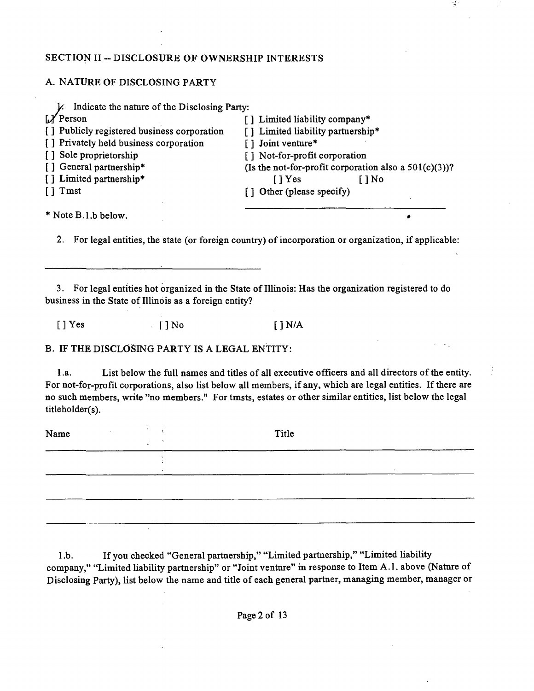### **SECTION II - DISCLOSURE OF OWNERSHIP INTERESTS**

### A. NATURE OF DISCLOSING PARTY

| Indicate the nature of the Disclosing Party: |                                                          |
|----------------------------------------------|----------------------------------------------------------|
| $\boldsymbol{X}$ Person                      | [] Limited liability company*                            |
| [] Publicly registered business corporation  | [] Limited liability partnership*                        |
| [] Privately held business corporation       | [] Joint venture*                                        |
| [] Sole proprietorship                       | [] Not-for-profit corporation                            |
| [] General partnership*                      | (Is the not-for-profit corporation also a $501(c)(3)$ )? |
| [] Limited partnership*                      | $\lceil \cdot \rceil$ Yes<br>[ ] No                      |
| $\lceil$ Tmst                                | [] Other (please specify)                                |
| * Note B.1.b below.                          |                                                          |

 $\frac{1}{\sqrt{2}}$ 

2. For legal entities, the state (or foreign country) of incorporation or organization, if applicable:

3. For legal entities hot organized in the State of Illinois: Has the organization registered to do business in the State of Illinois as a foreign entity?

 $[$  ] Yes  $[$   $]$  No  $[$   $]$  N/A

B. IF THE DISCLOSING PARTY IS A LEGAL ENTITY:

1.a. List below the full names and titles of all executive officers and all directors of the entity. For not-for-profit corporations, also list below all members, if any, which are legal entities. If there are no such members, write "no members." For tmsts, estates or other similar entities, list below the legal titleholder(s).

| Name | Title |  |
|------|-------|--|
|      |       |  |
|      |       |  |
|      |       |  |

l.b. If you checked "General partaership," "Limited partnership," "Limited liability company," "Limited liability partnership" or "Joint ventare" m response to Item A.l . above (Natare of Disclosing Party), list below the name and title of each general partaer, managing member, manager or

Page 2 of 13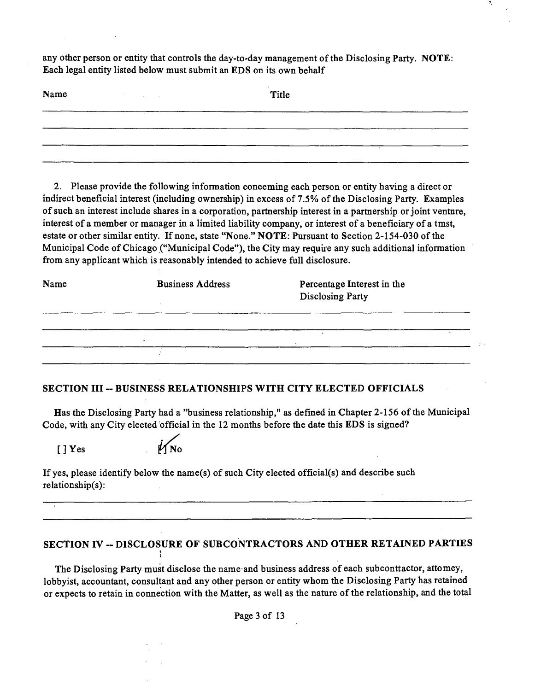any other person or entity that controls the day-to-day management of the Disclosing Party. NOTE: Each legal entity listed below must submit an EDS on its own behalf

| Name | Title |  |
|------|-------|--|
|      |       |  |
|      |       |  |
|      |       |  |

2. Please provide the following information conceming each person or entity having a direct or indirect beneficial interest (including ownership) in excess of 7.5% of the Disclosing Party. Examples of such an interest include shares in a corporation, partnership interest in a partaership or joint ventare, interest of a member or manager in a limited liability company, or interest of a beneficiary of a tmst, estate or other similar entity. If none, state "None." NOTE: Pursuant to Section 2-154-030 of the Municipal Code of Chicago ("Municipal Code"), the City may requure any such additional information from any applicant which is reasonably intended to achieve full disclosure.

| <b>Business Address</b> | Percentage Interest in the<br><b>Disclosing Party</b> |       |
|-------------------------|-------------------------------------------------------|-------|
|                         |                                                       |       |
|                         |                                                       | - 194 |
|                         |                                                       |       |
|                         |                                                       |       |

#### **SECTION III ~ BUSINESS RELATIONSHIPS WITH CITY ELECTED OFFICIALS**

Has the Disclosing Party had a "business relationship," as defined in Chapter 2-156 of the Municipal Code, with any City elected official in the 12 months before the date this EDS is signed?

 $[$   $]$  Yes



i

If yes, please identify below the name(s) of such City elected official(s) and describe such relationship(s):

# **SECTION IV ~ DISCLOSURE OF SUBCONTRACTORS AND OTHER RETAINED PARTIES**

The Disclosing Party must disclose the name and business address of each subconttactor, attomey, lobbyist, accountant, consultant and any other person or entity whom the Disclosing Party has retained or expects to retain in connection with the Matter, as well as the nature of the relationship, and the total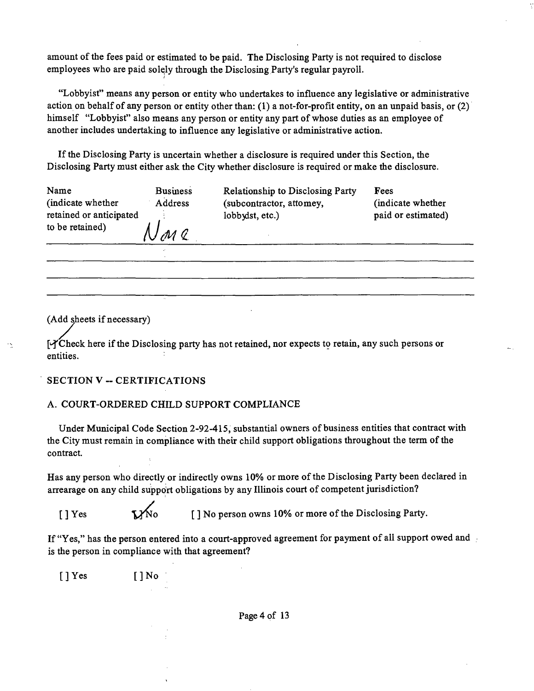amount of the fees paid or estimated to be paid. The Disclosing Party is not required to disclose employees who are paid solqly through the Disclosing Party's regular payroll.

"Lobbyist" means any person or entity who undertakes to influence any legislative or administrative action on behalf of any person or entity other than: (1) a not-for-profit entity, on an unpaid basis, or (2) himself "Lobbyist" also means any person or entity any part of whose duties as an employee of another includes undertaking to influence any legislative or administtative action.

Ifthe Disclosing Party is uncertain whether a disclosure is required under this Section, the Disclosing Party must either ask the City whether disclosure is required or make the disclosure.

| Name<br>(indicate whether                  | <b>Business</b><br>Address | <b>Relationship to Disclosing Party</b><br>(subcontractor, attomey, | Fees<br>(indicate whether |
|--------------------------------------------|----------------------------|---------------------------------------------------------------------|---------------------------|
| retained or anticipated<br>to be retained) |                            | lobbydst, etc.)                                                     | paid or estimated)        |
|                                            |                            |                                                                     |                           |

(Add sheets if necessary)

 $\frac{1}{2}$ 

 $[4C\text{th}$  check here if the Disclosing party has not retained, nor expects to retain, any such persons or entities.

#### **SECTION V ~ CERTIFICATIONS**

#### A. COURT-ORDERED CHILD SUPPORT COMPLIANCE

Under Municipal Code Section 2-92-415, substantial owners of business entities that conttact with the City must remain in compliance with theur child support obligations throughout the term of the contract.

Has any person who directly or indirectly owns 10% or more of the Disclosing Party been declared in arrearage on any child support obligations by any Illinois court of competent jurisdiction?

[ ] Yes  $\mathbf{V}$ No [ ] No person owns 10% or more of the Disclosing Party.

If "Yes," has the person entered into a court-approved agreement for payment of all support owed and is the person in compliance with that agreement?

[]Yes []No

Page 4 of 13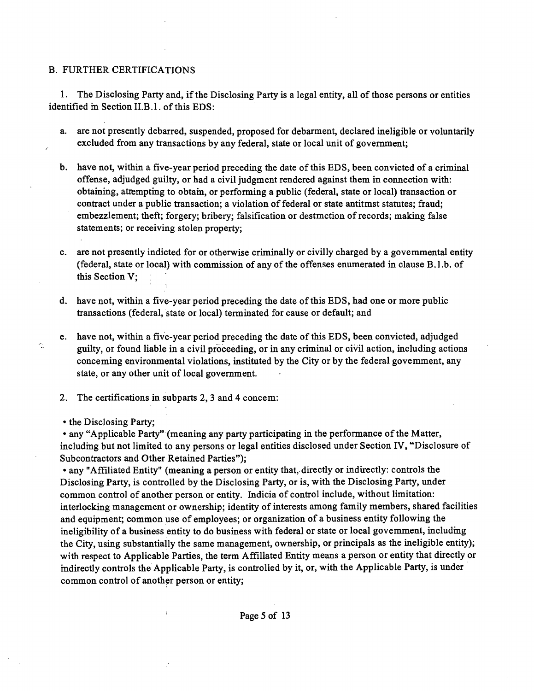#### B. FURTHER CERTIFICATIONS

1. The Disclosing Party and, if the Disclosing Party is a legal entity, all of those persons or entities identified m Section II.B.l. of this EDS:

- a. are not presently debarred, suspended, proposed for debarment, declared ineligible or voluntarily excluded from any transactions by any federal, state or local unit of government;
- b. have not, within a five-year period preceding the date of this EDS, been convicted of a criminal offense, adjudged guilty, or had a civil judgment rendered against them in connection with: obtaining, attempting to obtam, or performing a public (federal, state or local) transaction or contract under a public transaction; a violation of federal or state antitmst statutes; fraud; embezzlement; theft; forgery; bribery; falsification or destmction of records; making false statements; or receiving stolen property;
- c. are not presently indicted for or otherwise criminally or civilly charged by a govemmental entity (federal, state or local) with commission of any of the offenses enumerated in clause B.l.b. of this Section V;
- d. have not, within a five-year period preceding the date of this EDS, had one or more public ttansactions (federal, state or local) terminated for cause or default; and
- e. have not, within a five-year period preceding the date of this EDS, been convicted, adjudged guilty, or found liable in a civil proceeding, or in any criminal or civil action, including actions conceming environmental violations, institated by the City or by the federal govemment, any state, or any other unit of local government.
- 2. The certifications in subparts 2, 3 and 4 concem:
- the Disclosing Party;

Ą.

• any "Applicable Party" (meaning any party participating in the performance of the Matter, includmg but not limited to any persons or legal entities disclosed under Section IV, "Disclosure of Subcontractors and Other Retained Parties");

• any "Affiliated Entity" (meaning a person or entity that, directly or indurectly: controls the Disclosing Party, is controlled by the Disclosing Party, or is, with the Disclosing Party, under common conttol of another person or entity. Indicia of conttol include, without limitation: interlocking management or ownership; identity of interests among family members, shared facilities and equipment; common use of employees; or organization of a business entity following the ineligibility of a business entity to do business with federal or state or local govemment, includmg the City, using substantially the same management, ownership, or principals as the ineligible entity); with respect to Applicable Parties, the term Affillated Entity means a person or entity that directly or indirectly controls the Applicable Party, is controlled by it, or, with the Applicable Party, is under common conttol of another person or entity;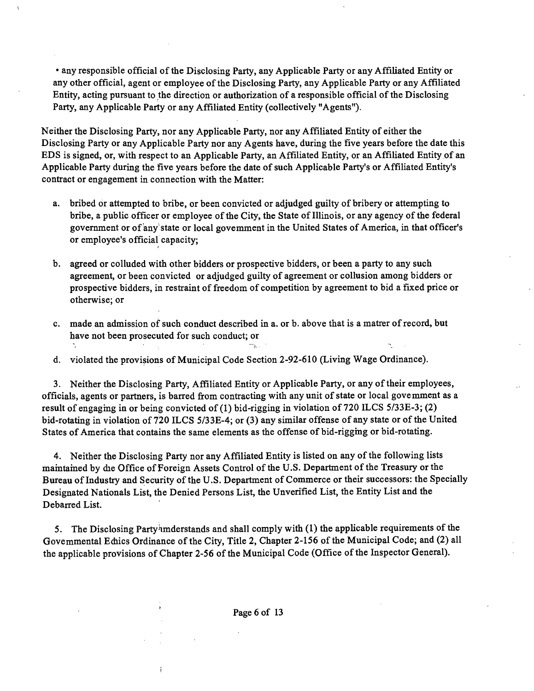• any responsible official of the Disclosing Party, any Applicable Party or any Affiliated Entity or any other official, agent or employee of the Disclosing Party, any Applicable Party or any Affiliated Entity, acting pursuant to the direction or authorization of a responsible official of the Disclosing Party, any Applicable Party or any Affiliated Entity (collectively "Agents").

Neither the Disclosing Party, nor any Applicable Party, nor any Affiliated Entity of either the Disclosing Party or any Applicable Party nor any Agents have, during the five years before the date this EDS is signed, or, with respect to an Applicable Party, an Affiliated Entity, or an Affiliated Entity of an Applicable Party during the five years before the date of such Applicable Party's or Affiliated Entity's conttact or engagement in connection with the Matter:

- a. bribed or attempted to bribe, or been convicted or adjudged guilty of bribery or attempting to bribe, a public officer or employee of the City, the State of Illinois, or any agency of the federal government or of any state or local govemment in the United States of America, in that officer's or employee's official capacity;
- b. agreed or colluded with other bidders or prospective bidders, or been a party to any such agreement, or been convicted or adjudged guilty of agreement or collusion among bidders or prospective bidders, in resttaint of freedom of competition by agreement to bid a fixed price or otherwise; or
- c. made an admission of such conduct described in a. or b. above that is a matter of record, but have not been prosecuted for such conduct; or
- d. violated the provisions of Municipal Code Section 2-92-610 (Living Wage Ordinance).

3. Neither the Disclosing Party, Affiliated Entity or Applicable Party, or any of their employees, officials, agents or partners, is barred from contracting with any unit of state or local govemment as a result of engaging in or being convicted of (1) bid-rigging in violation of 720 ILCS 5/33E-3; (2) bid-rotating in violation of 720 ILCS 5/33E-4; or (3) any similar offense of any state or of the United States of America that contains the same elements as the offense of bid-riggmg or bid-rotating.

4. Neither the Disclosing Party nor any Affiliated Entity is listed on any of the following lists maintained by die Office of Foreign Assets Control of the U.S. Department of the Treasury or the Bureau of Industry and Security of the U.S. Department of Commerce or their successors: the Specially Designated Nationals List, the Denied Persons List, the Unverified List, the Entity List and the Debarred List.

5. The Disclosing Partyhmderstands and shall comply with (1) the applicable requirements of the Govemmental Ediics Ordinance of the City, Title 2, Chapter 2-156 of the Municipal Code; and (2) all the applicable provisions of Chapter 2-56 of the Municipal Code (Office of the Inspector General).

ţ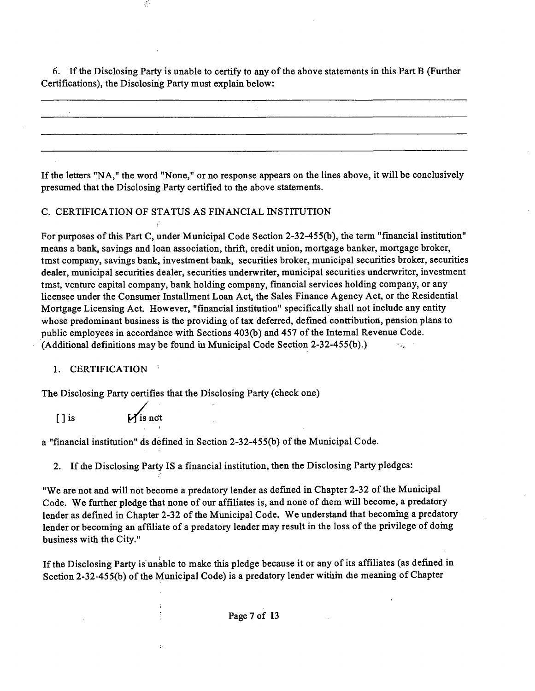6. If the Disclosing Party is unable to certify to any of the above statements in this Part B (Further Certifications), the Disclosing Party must explain below:

If the letters "NA," the word "None," or no response appears on the lines above, it will be conclusively presumed that the Disclosing Party certified to the above statements.

#### C. CERTIFICATION OF STATUS AS FINANCIAL INSTITUTION

 $\frac{1}{2}$ 

For purposes of this Part C, under Municipal Code Section 2-32-455(b), the term "financial institution" means a bank, savings and loan association, thrift, credit union, mortgage banker, mortgage broker, tmst company, savings bank, investment bank, securities broker, municipal securities broker, securities dealer, municipal securities dealer, securities underwriter, municipal securities underwriter, investment tmst, ventare capital company, bank holding company, financial services holding company, or any licensee under the Consumer Installment Loan Act, the Sales Finance Agency Act, or the Residential Mortgage Licensing Act. However, "financial institution" specifically shall not include any entity whose predominant business is the providing of tax deferred, defined conttibution, pension plans to public employees in accordance with Sections 403(b) and 457 of the Intemal Revenue Code. (Additional definitions may be found ui Municipal Code Section 2-32-455(b).) Hz.

#### 1. CERTIFICATION

*The Disclosing Party certifies that the Disclosing Party (check one)* 

1

 $\overline{\mathbb{Z}}$ 

[ ] is *if* is not

a "financial institution" ds defined in Section 2-32-455(b) of the Municipal Code.

2. If die Disclosing Party IS a financial institution, then the Disclosing Party pledges:

"We are not and will not become a predatory lender as defined in Chapter 2-32 of the Municipal Code. We further pledge that none of our affiliates is, and none of diem will become, a predatory lender as defined in Chapter 2-32 of the Municipal Code. We understand that becoming a predatory lender or becoming an affiliate of a predatory lender may result in the loss of the privilege of domg business with the City."

If the Disclosing Party is unable to make this pledge because it or any of its affiliates (as defined in Section 2-32-455(b) of the Municipal Code) is a predatory lender within die meaning of Chapter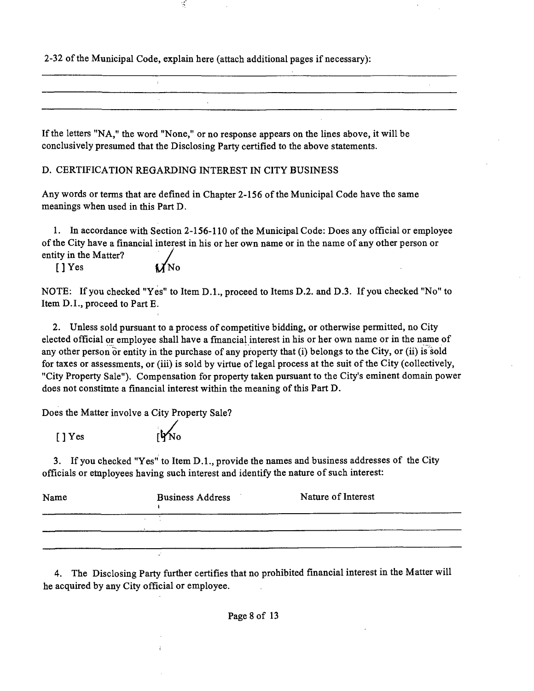2-32 of the Municipal Code, explain here (attach additional pages if necessary):

ť

If the letters "NA," the word "None," or no response appears on the lines above, it will be conclusively presumed that the Disclosing Party certified to the above statements.

D. CERTIFICATION REGARDING INTEREST IN CITY BUSINESS

Any words or terms that are defined in Chapter 2-156 of the Municipal Code have the same meanings when used in this Part D.

1. In accordance with Section 2-156-110 of the Municipal Code: Does any official or employee of the City have a financial interest in his or her own name or in the name of any other person or entity in the Matter?

 $[$  | Yes  $]$ 

NOTE: If you checked "Yes" to Item D.L, proceed to Items D.2. and D.3. If you checked "No" to Item D.I., proceed to Part E.

2. Unless sold pursuant to a process of competitive bidding, or otherwise permitted, no City elected official or employee shall have a fmancial interest in his or her own name or in the name of any other person or entity in the purchase of any property that (i) belongs to the City, or (ii) is sold for taxes or assessments, or (iii) is sold by virtue of legal process at the suit of the City (collectively, "City Property Sale"). Compensation for property taken pursuant to the City's eminent domain power does not constitute a financial interest within the meaning of this Part D.

Does the Matter involve a City Property Sale?

 $[$   $]$  Yes

3. If you checked "Yes" to Item D.L, provide the names and business addresses of the City officials or employees having such interest and identify the nature of such interest:

| Name | <b>Business Address</b> | Nature of Interest |
|------|-------------------------|--------------------|
|      |                         |                    |
|      |                         |                    |

4. The Disclosing Party further certifies that no prohibited financial interest in the Matter will he acquired by any City official or employee.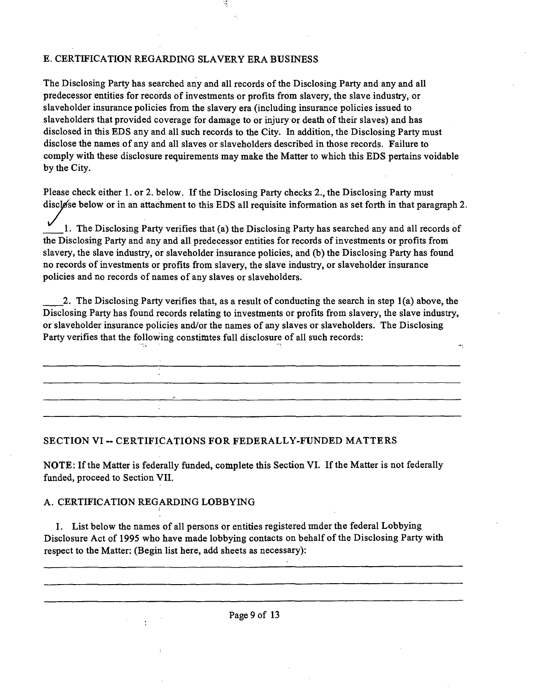# E. CERTIFICATION REGARDING SLAVERY ERA BUSINESS

The Disclosing Party has searched any and all records of the Disclosing Party and any and all predecessor entities for records of investments or profits from slavery, the slave industry, or slaveholder insurance policies from the slavery era (including insurance policies issued to slaveholders that provided coverage for damage to or injury or death of their slaves) and has disclosed in this EDS any and all such records to the City. In addition, the Disclosing Party must disclose the names of any and all slaves or slaveholders described in those records. Failure to comply with these disclosure requirements may make the Matter to which this EDS pertains voidable by the City.

Please check either 1. or 2. below. If the Disclosing Party checks 2., the Disclosing Party must disclose below or in an attachment to this EDS all requisite information as set forth in that paragraph 2.

1. The Disclosing Party verifies that (a) the Disclosing Party has searched any and all records of the Disclosing Party and any and all predecessor entities for records of investments or profits from slavery, the slave industry, or slaveholder insurance policies, and (b) the Disclosing Party has found no records of investments or profits from slavery, the slave industry, or slaveholder insurance policies and no records of names of any slaves or slaveholders.

2. The Disclosing Party verifies that, as a result of conducting the search in step 1(a) above, the Disclosing Party has found records relating to investments or profits from slavery, the slave industry, or slaveholder insurance policies and/or the names of any slaves or slaveholders. The Disclosing Party verifies that the following constimtes full disclosure of all such records:

#### **SECTION VI ~ CERTIFICATIONS FOR FEDERALLY-FUNDED MATTERS**

NOTE: If the Matter is federally funded, complete this Section VI. If the Matter is not federally funded, proceed to Section VII.

# A. CERTIFICATION REGARDING LOBBYING

I. List below the names of all persons or entities registered imder the federal Lobbying Disclosure Act of 1995 who have made lobbying contacts on behalf of the Disclosing Party with respect to the Matter: (Begin list here, add sheets as necessary):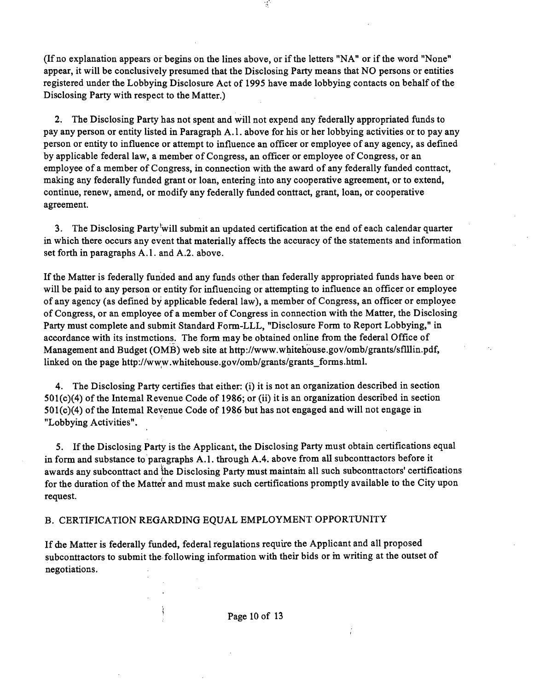(If no explanation appears or begins on the lines above, or ifthe letters "NA" or ifthe word "None" appear, it will be conclusively presumed that the Disclosing Party means that NO persons or entities registered under the Lobbying Disclosure Act of 1995 have made lobbying contacts on behalf ofthe Disclosing Party with respect to the Matter.)

 $\mathcal{A}$ 

2. The Disclosing Party has not spent and will not expend any federally appropriated funds to pay any person or entity listed in Paragraph A.l . above for his or her lobbying activities or to pay any person or entity to influence or attempt to influence an officer or employee of any agency, as defined by applicable federal law, a member of Congress, an officer or employee of Congress, or an employee of a member of Congress, in connection with the award of any federally funded conttact, making any federally funded grant or loan, entering into any cooperative agreement, or to extend, continue, renew, amend, or modify any federally funded conttact, grant, loan, or cooperative agreement.

3. The Disclosing Party'will submit an updated certification at the end of each calendar quarter in which there occurs any event that materially affects the accuracy of the statements and information set forth in paragraphs A.1. and A.2. above.

If the Matter is federally funded and any funds other than federally appropriated funds have been or will be paid to any person or entity for influencing or attempting to influence an officer or employee of any agency (as defined by applicable federal law), a member of Congress, an officer or employee of Congress, or an employee of a member of Congress in connection with the Matter, the Disclosing Party must complete and submit Standard Form-LLL, "Disclosure Form to Report Lobbying," in accordance with its instmctions. The form may be obtained online from the federal Office of Management and Budget (OMB) web site at http://www.whitehouse.gov/omb/grants/sflUin.pdf, linked on the page http://www.whitehouse.gov/omb/grants/grants\_forms.html.

4. The Disclosing Party certifies that either: (i) it is not an organization described in section 501(c)(4) of the Intemal Revenue Code of 1986; or (ii) it is an organization described in section 501(c)(4) of the Intemal Revenue Code of 1986 but has not engaged and will not engage in "Lobbying Activities".

5. If the Disclosing Party is the Applicant, the Disclosing Party must obtain certifications equal in form and substance to paragraphs A.1. through A.4. above from all subconttactors before it awards any subconttact and the Disclosing Party must maintam all such subconttactors' certifications for the duration of the Matter and must make such certifications promptly available to the City upon request.

# B. CERTIFICATION REGARDING EQUAL EMPLOYMENT OPPORTUNITY

If die Matter is federally funded, federal regulations requure the Applicant and all proposed subcontractors to submit the following information with their bids or m writing at the outset of negotiations.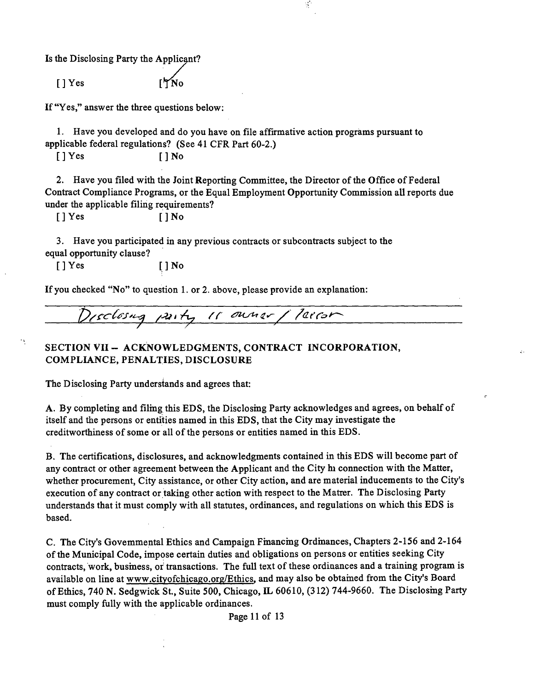Is the Disclosing Party the Applicant?

 $[$  | Yes

If "Yes," answer the three questions below:

1. Have you developed and do you have on file affirmative action programs pursuant to applicable federal regulations? (See 41 CFR Part 60-2.)

 $[ ] Yes$   $[ ] No$ 

2. Have you filed with the Joint Reporting Committee, the Director of the Office of Federal Contract Compliance Programs, or the Equal Employment Opportunity Commission all reports due under the applicable filing requirements?

 $\mathcal{A}$ 

[] Yes [] No

3. Have you participated in any previous contracts or subcontracts subject to the equal opportanity clause?

[ ] Yes [ ] No

If you checked "No" to question 1. or 2. above, please provide an explanation:

Disclosing party 11 owner / leiron

# **SECTION VII - ACKNOWLEDGMENTS, CONTRACT INCORPORATION, COMPLIANCE, PENALTIES, DISCLOSURE**

The Disclosing Party understands and agrees that:

A. By completing and filmg this EDS, the Disclosmg Party acknowledges and agrees, on behalf of itself and the persons or entities named in this EDS, that the City may investigate the creditworthiness of some or all of the persons or entities named in this EDS.

B. The certifications, disclosures, and acknowledgments contained in this EDS will become part of any contract or other agreement between the Applicant and the City hi connection with the Matter, whether procurement, City assistance, or other City action, and are material inducements to the City's execution of any contract or taking other action with respect to the Matrer. The Disclosing Party understands that it must comply with all statates, ordinances, and regulations on which this EDS is based.

C. The City's Govemmental Ethics and Campaign Fmancmg Ordmances, Chapters 2-156 and 2-164 of the Municipal Code, impose certain duties and obligations on persons or entities seeking City contracts, work, busmess, or transactions. The full text of these ordinances and a training program is available on line at www.cityofchicago.org/Ethics, and may also be obtamed from the City's Board of Ethics, 740 N. Sedgwick St., Suite 500, Chicago, IL 60610, (312) 744-9660. The Disclosing Party must comply fully with the applicable ordinances.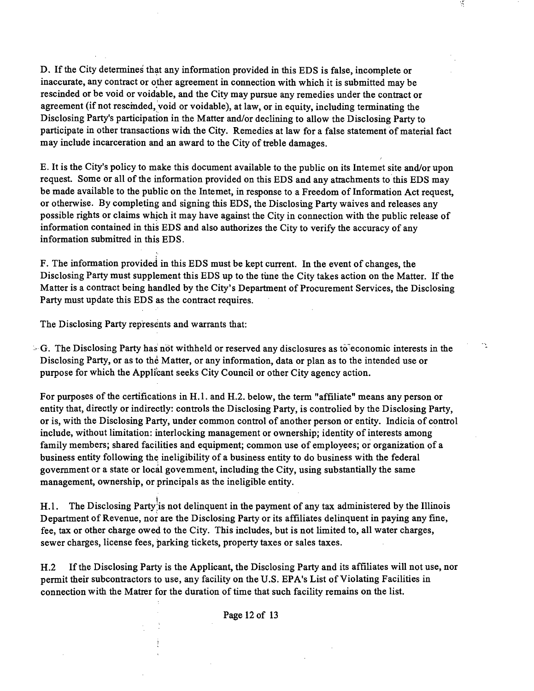D. If the City determines that any information provided in this EDS is false, incomplete or inaccurate, any contract or other agreement in connection with which it is submitted may be rescinded or be void or voidable, and the City may pursue any remedies under the conttact or agreement (if not rescmded, void or voidable), at law, or in equity, including terminating the Disclosing Party's participation in the Matter and/or declining to allow the Disclosing Party to participate in other transactions widi the City. Remedies at law for a false statement of material fact may include incarceration and an award to the City of tteble damages.

E. It is the City's policy to make this document available to the public on its Intemet site and/or upon request. Some or all of the information provided on this EDS and any attachments to this EDS may be made available to the public on the Intemet, in response to a Freedom of Information Act request, or otherwise. By completing and signing this EDS, the Disclosuig Party waives and releases any possible rights or claims which it may have against the City in connection with the public release of information contained in this EDS and also authorizes the City to verify the accuracy of any information submitted in this EDS.

F. The information provided in this EDS must be kept current. In the event of changes, the Disclosing Party must supplement this EDS up to the tune the City takes action on the Matter. If the Matter is a contract being handled by the City's Department of Procurement Services, the Disclosing Party must update this EDS as the contract requires.

The Disclosing Party represents and warrants that:

 $\sim$  G. The Disclosing Party has not withheld or reserved any disclosures as to economic interests in the Disclosing Party, or as to the Matter, or any information, data or plan as to the intended use or purpose for which the Applicant seeks City Council or other City agency action.

 $\mathcal{C}_{\mathcal{A}}$ 

For purposes of the certifications in H.1. and H.2. below, the term "affiliate" means any person or entity that, directly or indirectly: controls the Disclosing Party, is controlied by the Disclosing Party, or is, with the Disclosing Party, under common conttol of another person or entity. Indicia of conttol include, without limitation: interlocking management or ownership; identity of interests among family members; shared facilities and equipment; common use of employees; or organization of a business entity following the ineligibility of a business entity to do business with the federal government or a state or local govemment, including the City, using substantially the same management, ownership, or principals as the ineligible entity.

H.1. The Disclosing Party<sup>3</sup> is not delinquent in the payment of any tax administered by the Illinois Department of Revenue, nor are the Disclosing Party or its affiliates delinquent in paying any fine, fee, tax or other charge owed to the City. This includes, but is not limited to, all water charges, sewer charges, license fees, parking tickets, property taxes or sales taxes.

H.2 If the Disclosing Party is the Applicant, the Disclosing Party and its affiliates will not use, nor permit their subconttactors to use, any facility on the U.S. EPA's List of Violating Facilities in connection with the Matter for the duration of time that such facility remains on the list.

Page 12 of 13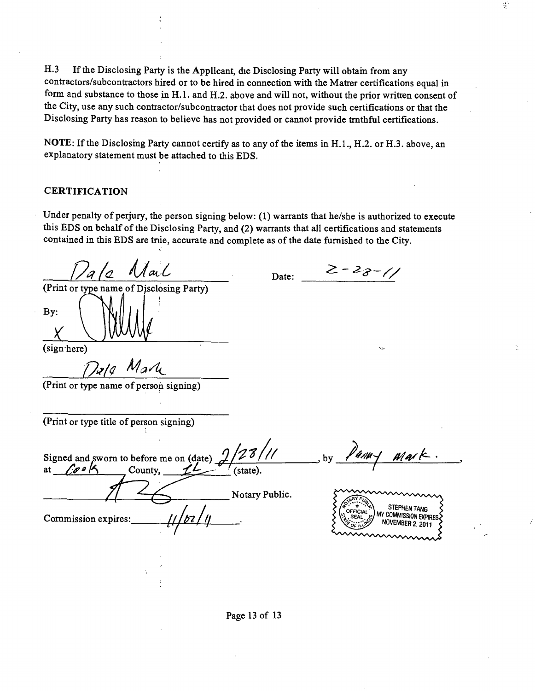H.3 If the Disclosing Party is the Applicant, die Disclosing Party will obtain from any contractors/subconttactors hired or to be hired in connection with the Matter certifications equal in form and substance to those in H.1. and H.2. above and will not, without the prior written consent of the City, use any such conttactor/subconttactor that does not provide such certifications or that the Disclosing Party has reason to believe has not provided or cannot provide tmthful certifications.

NOTE: If the Disclosing Party cannot certify as to any of the items in H.1., H.2. or H.3. above, an explanatory statement must be attached to this EDS.

#### **CERTIFICATION**

Under penalty of perjury, the person signing below: (1) warrants that he/she is authorized to execute this EDS on behalf of the Disclosing Party, and (2) warrants that all certifications and statements contained in this EDS are true, accurate and complete as of the date furnished to the City.

Date:

*^ - ^^-7y* 

 $\alpha$ 

Mail (Print or type name of Disclosing Party)

By:

(sign here)

*P^l(/ Ma2l^* 

(Print or type name of person signing)

(Print or type title of person signing)

 $2/28$ /// .by  $\ell$ 4/14/ Mark Signed and sworn to before me on (date)<br>at  $\sqrt{\sigma} \cdot \frac{1}{2}$  County. County, (state) Notary Public STEPHEN TANG COMMISSION EXPIRES Commission expires: ЗEА NOVEMBER 2, 2011

Page 13 of 13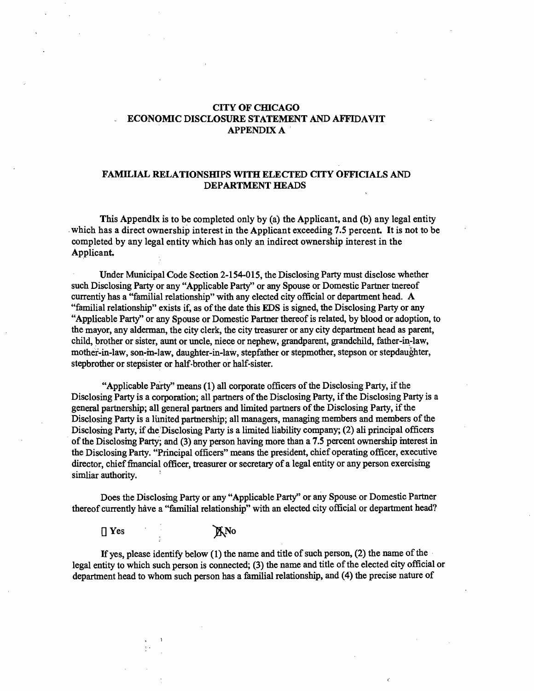#### **CITY OF CHICAGO ECONOMIC DISCLOSURE STATEMENT AND AFFIDAVIT APPENDIX A**

#### **FAMILIAL RELATIONSHIPS WITH ELECTED CITY OFFICIALS AND DEPARTMENT HEADS**

**This Appendix is to be completed only by (a) the Applicant, and (b) any legal entity**  which has a direct ownership interest in the Applicant exceeding 7.5 percent. It is not to be **completed by any legal entity which has only an indirect ownership interest in the**  Applicant.

Under Municipal Code Section 2-154-015, the Disclosing Party must disclose whether such Disclosing Party or any "Applicable Party" or any Spouse or Domestic Partner tnereof currentiy has a "familial relationship" with any elected city official or department head. A "familial relationship" exists if, as of the date this EDS is signed, the Disclosing Party or any "Applicable Party" or any Spouse or Domestic Partner thereof is related, by blood or adoption, to the mayor, any alderman, the city clerk, the city treasurer or any city department head as parent, child, brother or sister, aunt or uncle, niece or nephew, grandparent, grandchild, father-in-law, mothef-in-law, son-m-law, daughter-in-law, stepfather or stepmother, stepson or stepdaughter, stepbrother or stepsister or half-brother or half-sister.

"Applicable Party" means (1) all corporate officers of the Disclosing Party, if the Disclosing Party is a corporation; all partners of the Disclosing Party, if the Disclosing Party is a general partaership; all general partaers and limited partaers of the Disclosing Party, ifthe Disclosing Party is a lunited partnership; all managers, managing members and members of the Disclosing Party, if die Disclosing Party is a limited liability company; (2) ali principal officers of the Disclosmg Party; and (3) any person having more than a 7.5 percent ownership mterest in the Disclosing Party. "Principal officers" means the president, chief operating officer, executive director, chief fmancial officer, treasurer or secretary of a legal entity or any person exercising simliar authority.

Does the Disclosing Party or any "Applicable Party" or any Spouse or Domestic Partner thereof currently have a "familial relationship" with an elected city official or department head?

 $\Box$  Yes  $\Box$  YNo

If yes, please identify below (1) the name and title of such person, (2) the name of the legal entity to which such person is connected; (3) the name and title of the elected city official or department head to whom such person has a familial relationship, and (4) the precise nature of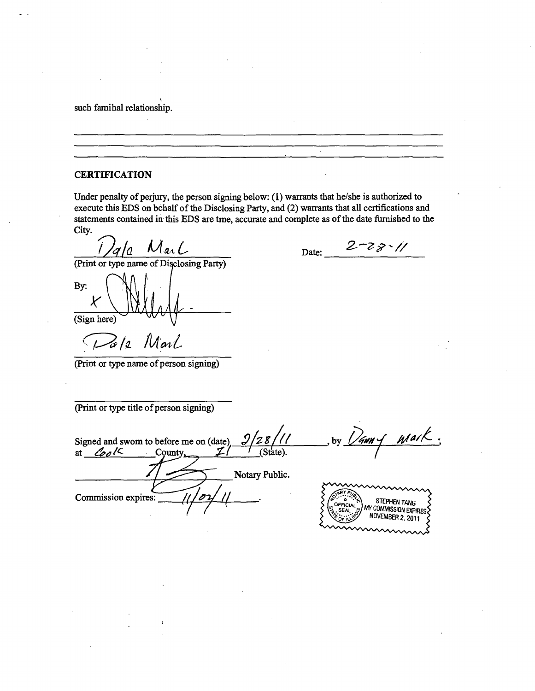such famihal relationship.

#### **CERTIFICATION**

Under penalty of perjury, the person signing below: (1) warrants that he/she is authorized to execute this EDS on behalf of the Disclosing Party, and (2) warrants that all certifications and statements contained in this EDS are tme, accurate and complete as of the date furnished to the City.

Date:

*Tala Marl Date:*  $2-78$  // (Print or type name of Disclosing Party)

By: X (Sign here)

Pa/2 Marl

(Print or type name of person signing)

(Print or type title of person signing)

Signed and swom to before me on (date)  $\frac{9}{28}$  //<br>at  $\frac{6}{9}$ /< County,  $\frac{7}{1}$  (State). at *Cool* Notary Public. Commission expires: STEPHEN TANG<br>MY COMMISSION EXPIRES NOVEMBER 2, 2011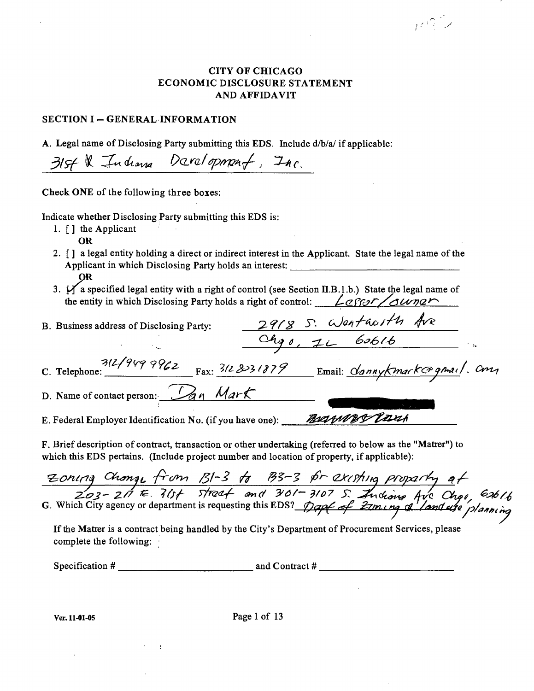# CITY OF CHICAGO ECONOMIC DISCLOSURE STATEMENT AND AFFIDAVIT

while

#### SECTION I - GENERAL INFORMATION

A. Legal name of Disclosing Party submitting this EDS. Include d/b/a/ if applicable:

31st & Indiana Davalopmant, Inc.

Check ONE of the following three boxes:

Indicate whether Disclosing Party submitting this EDS is:

- 1. [] the Applicant
	- OR
- 2. [ ] a legal entity holding a direct or indirect interest in the Applicant. State the legal name of the Applicant in which Disclosing Party holds an interest: OR
- *3. M a specified legal entity with a right ofcontrol (see Section II.B.l.b.) State the legal name of*  the entity in which Disclosing Party holds a right of control:  $\angle$  g for sounds

| B. Business address of Disclosing Party:    | 2918 S. Wentholth Ave               |
|---------------------------------------------|-------------------------------------|
|                                             | Ohp0, 11 60616                      |
| $\frac{312/9499962}{\text{Ex: }312.331879}$ | Email: <u>dannykmark@gmai</u> l. Cm |
| D. Name of contact person: Dan Mark         |                                     |

E. Federal Employer Identification No. (if you have one): Most Most Carsh

F. Brief description of contract, transaction or other undertaking (referred to below as the "Matrer") to which this EDS pertains. (Include project number and location of property, if applicable):

| Zoning Change from B1-3 to B3-3 for existing property at                                                                                                                 |  |  |
|--------------------------------------------------------------------------------------------------------------------------------------------------------------------------|--|--|
| $203-217$ Fe. $315f$ Streat and $301-3107$ S. Indiana Ave Chgo, 62616<br>3. Which City agency or department is requesting this EDS? Trap of Eziming of land are planning |  |  |
| If the Matter is a contract being handled by the City's Department of Procurement Services, please                                                                       |  |  |

If the Matter is a contract being handled by the City's Department of Procurement Services, please complete the following:

Specification  $\#\underline{\hspace{1cm}}$  and Contract  $\#\underline{\hspace{1cm}}$ 

Ver. 11-01-05 Page 1 of 13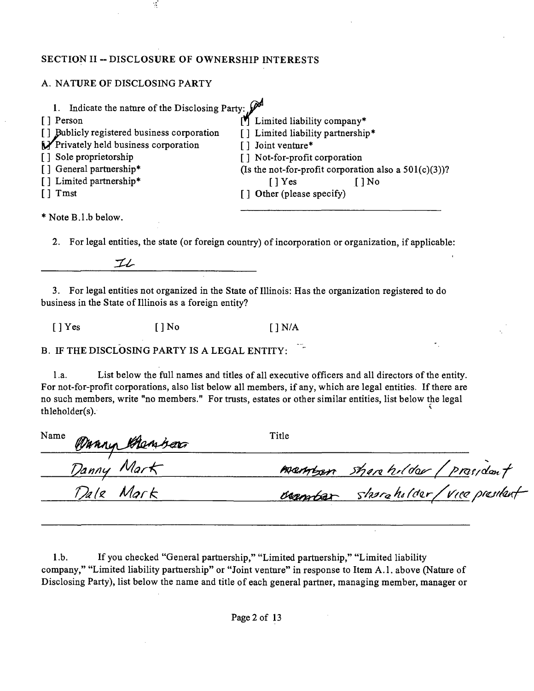# SECTION II -- DISCLOSURE OF OWNERSHIP INTERESTS

S,

# A. NATURE OF DISCLOSING PARTY

| Indicate the nature of the Disclosing Party: $\mathscr{P}^{\mathcal{A}}$ |                                                          |
|--------------------------------------------------------------------------|----------------------------------------------------------|
| [ ] Person                                                               | Limited liability company*                               |
| [] Bublicly registered business corporation                              | [] Limited liability partnership*                        |
| Privately held business corporation                                      | [] Joint venture*                                        |
| [] Sole proprietorship                                                   | [] Not-for-profit corporation                            |
| [] General partnership*                                                  | (Is the not-for-profit corporation also a $501(c)(3)$ )? |
| [] Limited partnership*                                                  | $\lceil \cdot \rceil$ Yes<br>$[1]$ No                    |
| $[1]$ Tmst                                                               | [] Other (please specify)                                |
|                                                                          |                                                          |

\* Note B.l.b below.

2. For legal entities, the state (or foreign country) of incorporation or organization, if applicable:

 $\mathcal{I}\mathcal{L}$ 

3. For legal entities not organized in the State of Illinois: Has the organization registered to do business in the State of Illinois as a foreign entity?

 $[ ]$  Yes  $[ ]$  No  $[ ]$  N/A

B. IF THE DISCLOSING PARTY IS A LEGAL ENTITY:

l.a. List below the full names and titles of all executive officers and all directors of the entity. For not-for-profit corporations, also list below all members, if any, which are legal entities. If there are no such members, write "no members." For trusts, estates or other similar entities, list below the legal thleholder(s).

| Name Wanny Chembers | Title                              |
|---------------------|------------------------------------|
| Danny Mark          | member shore holder / prasident    |
| Dale Mark           | Berntar starcholder/vice president |

1 .b. If you checked "General partaership," "Limited partaership," "Limited liability company," "Limited liability partaership" or "Joint ventare" in response to Item A.l . above (Natare of Disclosing Party), list below the name and title of each general partner, managing member, manager or

Page 2 of 13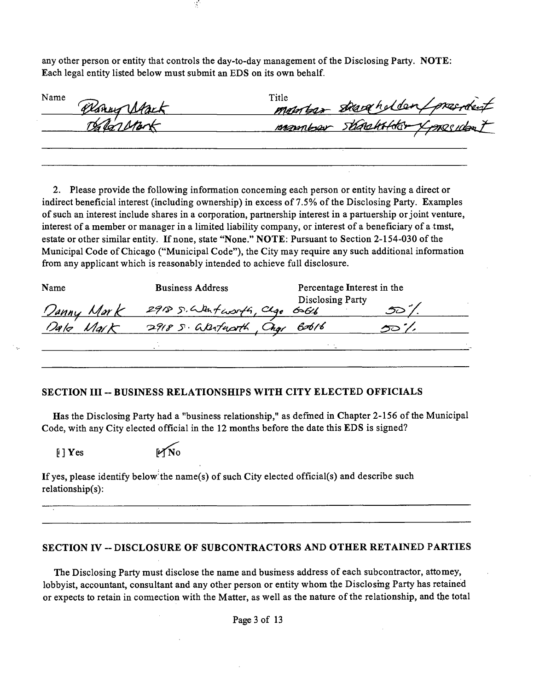any other person or entity that controls the day-to-day management of the Disclosing Party. NOTE: Each legal entity listed below must submit an EDS on its own behalf.

 $\mathcal{L}$ 

| Name<br>Banny Atack | Title<br>member startholder president |
|---------------------|---------------------------------------|
| Dalarstort          | manufar StackHoter Xpresident         |
|                     |                                       |

2. Please provide the following information conceming each person or entity having a direct or indirect beneficial interest (including ownership) in excess of 7.5% of the Disclosing Party. Examples of such an interest include shares in a corporation, partnership interest in a partaership or joint ventare, interest of a member or manager in a limited liability company, or interest of a beneficiary of a tmst, estate or other similar entity. If none, state "None." NOTE: Pursuant to Section 2-154-030 of the Municipal Code of Chicago ("Municipal Code"), the City may require any such additional information from any applicant which is reasonably intended to achieve full disclosure.

| Name              | <b>Business Address</b>       | Percentage Interest in the |  |
|-------------------|-------------------------------|----------------------------|--|
| <u>Danny Mark</u> | 2918 S. Wantworth, Clgo 6616  | Disclosing Party           |  |
| Dalo<br>Mat       | 2918 S. Warfacath, Chos Bob16 |                            |  |
|                   |                               | $\cdots$                   |  |
|                   |                               |                            |  |

#### SECTION III -- BUSINESS RELATIONSHIPS WITH CITY ELECTED OFFICIALS

Has the Disclosing Party had a "business relationship," as defined in Chapter 2-156 of the Municipal Code, with any City elected official in the 12 months before the date this EDS is signed?

 $[1]$  Yes [ $\mathcal{N}$ No

If yes, please identify below the name(s) of such City elected official(s) and describe such relationship(s):

#### SECTION IV -- DISCLOSURE OF SUBCONTRACTORS AND OTHER RETAINED PARTIES

The Disclosing Party must disclose the name and busmess address of each subcontractor, attomey, lobbyist, accountant, consultant and any other person or entity whom the Disclosmg Party has retained or expects to retain in comiection with the Matter, as well as the natare of the relationship, and the total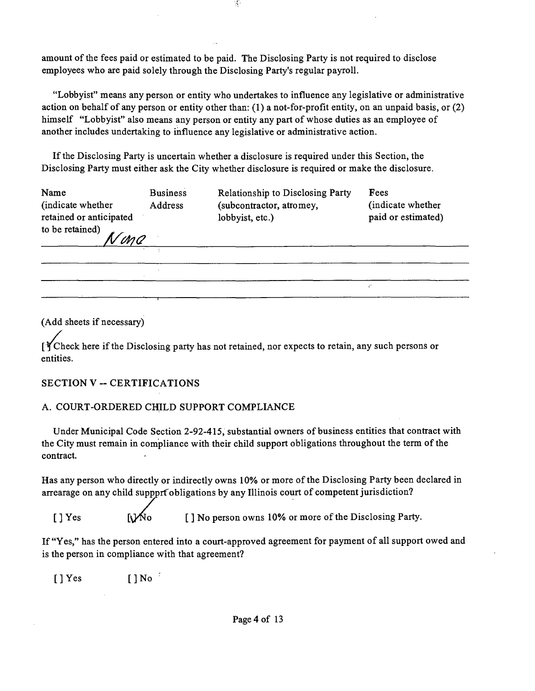amount of the fees paid or estimated to be paid. The Disclosing Party is not required to disclose employees who are paid solely through the Disclosing Party's regular payroll.

"Lobbyist" means any person or entity who undertakes to influence any legislative or administrative action on behalf of any person or entity other than: (1) a not-for-profit entity, on an unpaid basis, or (2) himself "Lobbyist" also means any person or entity any part of whose duties as an employee of another includes undertaking to influence any legislative or administrative action.

If the Disclosing Party is uncertain whether a disclosure is required under this Section, the Disclosing Party must either ask the City whether disclosure is required or make the disclosure.

| Name                    | <b>Business</b> | Relationship to Disclosing Party | Fees               |
|-------------------------|-----------------|----------------------------------|--------------------|
| (indicate whether)      | <b>Address</b>  | (subcontractor, atromey,         | (indicate whether  |
| retained or anticipated |                 | lobbyist, etc.)                  | paid or estimated) |
| to be retained)         |                 |                                  |                    |
| Nona                    |                 |                                  |                    |
|                         |                 |                                  |                    |

(Add sheets if necessary)

 $\int \int f$ Check here if the Disclosing party has not retained, nor expects to retain, any such persons or entities.

# **SECTION V - CERTIFICATIONS**

# A. COURT-ORDERED CHILD SUPPORT COMPLIANCE

Under Municipal Code Section 2-92-415, substantial owners of business entities that conttact with the City must remain in compliance with their child support obligations throughout the term of the contract.

Has any person who directly or indirectly owns 10% or more of the Disclosing Party been declared in arrearage on any child suppprf obligations by any Illinois court of competent jurisdiction?

[ ] Yes  $[\]$  No person owns 10% or more of the Disclosing Party.

If "Yes," has the person entered into a court-approved agreement for payment of all support owed and is the person in compliance with that agreement?

[]Yes []No '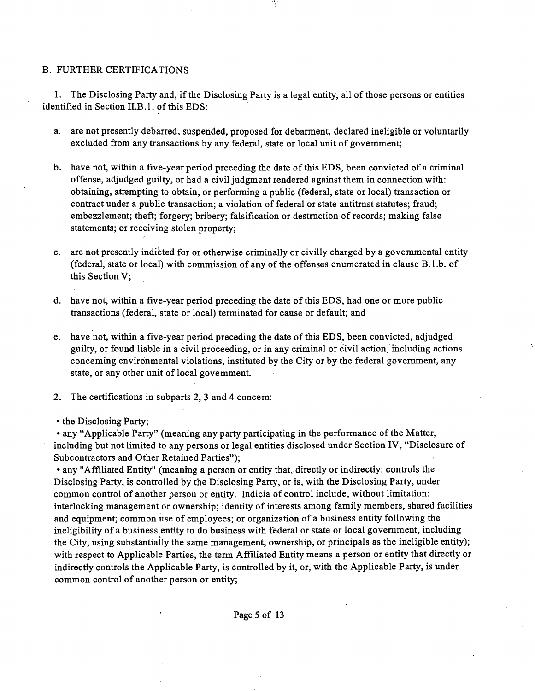#### B. FURTHER CERTIFICATIONS

1. The Disclosing Party and, if the Disclosing Party is a legal entity, all of those persons or entities identified in Section II.B.1. of this EDS:

a. are not presently debarred, suspended, proposed for debarment, declared ineligible or voluntarily excluded from any transactions by any federal, state or local unit of govemment;

 $\frac{1}{2}$ 

- b. have not, within a five-year period preceding the date of this EDS, been convicted of a criminal offense, adjudged guilty, or had a civil judgment rendered against them in connection with: obtaining, attempting to obtain, or performing a public (federal, state or local) transaction or contract under a public transaction; a violation of federal or state antitmst statutes; fraud; embezzlement; theft; forgery; bribery; falsification or destmction of records; making false statements; or receiving stolen property;
- c. are not presently indicted for or otherwise criminally or civilly charged by a govemmental entity (federal, state or local) with commission of any of the offenses enumerated in clause B.l.b. of this Section V;
- d. have not, within a five-year period preceding the date of this EDS, had one or more public transactions (federal, state or local) terminated for cause or default; and
- e. have not, within a five-year period preceding the date of this EDS, been convicted, adjudged guilty, or found liable in a civil proceeding, or in any criminal or civil action, including actions conceming environmental violations, institated by the City or by the federal govemment, any state, or any other unit of local govemment.
- 2. The certifications in subparts 2, 3 and 4 concem:

• the Disclosing Party;

• any "Applicable Party" (mearuing any party participating in the performance of the Matter, including but not limited to any persons or legal entities disclosed under Section IV, "Disclosure of Subcontractors and Other Retained Parties");

• any "Affiliated Entity" (meanmg a person or entity that, directly or indirectiy: controls the Disclosing Party, is controlled by the Disclosing Party, or is, with the Disclosing Party, under common conttol of another person or entity. Indicia of conttol include, without limitation: interlocking management or ownership; identity of interests among family members, shared facilities and equipment; common use of employees; or organization of a business entity following the ineligibility of a business entity to do business with federal or state or local govemment, including the City, using substantially the same management, ownership, or principals as the ineligible entity); with respect to Applicable Parties, the term Affiliated Entity means a person or entity that directly or indirectly controls the Applicable Party, is controlled by it, or, with the Applicable Party, is under common control of another person or entity;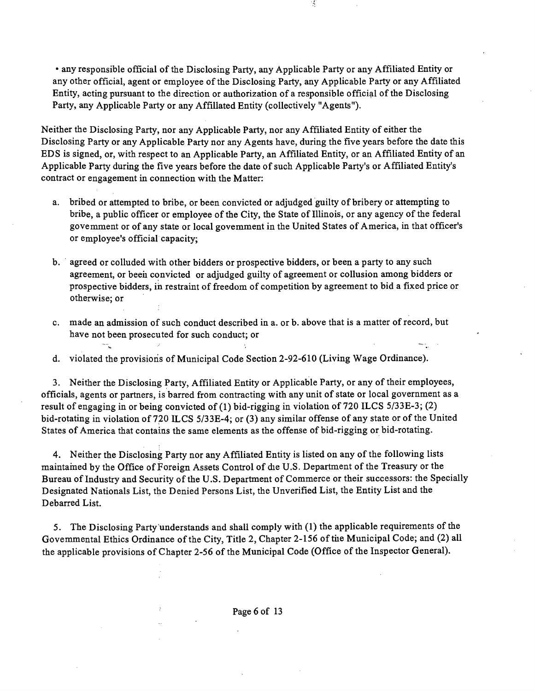• any responsible official of the Disclosing Party, any Applicable Party or any Affiliated Entity or any other official, agent or employee of the Disclosing Party, any Applicable Party or any Affiliated Entity, acting pursuant to the direction or authorization of a responsible official of the Disclosing Party, any Applicable Party or any Affillated Entity (collectively "Agents").

Y.

Neither the Disclosing Party, nor any Applicable Party, nor any Affiliated Entity of either the Disclosing Party or any Applicable Party nor any Agents have, during the five years before the date this EDS is signed, or, with respect to an Applicable Party, an Affiliated Entity, or an Affiliated Entity of an Applicable Party during the five years before the date of such Applicable Party's or Affiliated Entity's contract or engagement in connection with the Matter:

- a. bribed or attempted to bribe, or been convicted or adjudged guilty of bribery or attempting to bribe, a public officer or employee of the City, the State of Illinois, or any agency of the federal govemment or of any state or local govemment in the United States of America, in that officer's or employee's official capacity;
- b. agreed or colluded with other bidders or prospective bidders, or been a party to any such agreement, or beeii convicted or adjudged guilty of agreement or collusion among bidders or prospective bidders, ih restraint of freedom of competition by agreement to bid a fixed price or otherwise; or
- c. made an admission of such conduct described in a. or b. above that is a matter of record, but have not been prosecuted for such conduct; or

d. violated the provisions of Municipal Code Section 2-92-610 (Living Wage Ordinance).

3. Neither the Disclosing Party, Affiliated Entity or Applicable Party, or any of their employees, officials, agents or partners, is barred from contracting with any unit of state or local government as a result of engaging in or being convicted of (1) bid-rigging in violation of 720 ILCS 5/33E-3; (2) bid-rotating in violation of 720 ILCS 5/33E-4; or (3) any similar offense of any state or of the United States of America that contains the same elements as the offense of bid-rigging or bid-rotating.

4. Neither the Disclosing Party nor any Affiliated Entity is listed on any of the following lists maintamed by the Office of Foreign Assets Control of die U.S. Department of the Treasury or the Bureau of Industry and Security of the U.S. Department of Commerce or their successors: the Specially Designated Nationals List, the Denied Persons List, the Unverified List, the Entity List and the Debarred List.

5. The Disclosing Party understands and shall comply with (1) the applicable requirements of the Govemmental Ethics Ordinance of the City, Title 2, Chapter 2-156 of tiie Municipal Code; and (2) all the applicable provisions of Chapter 2-56 of the Municipal Code (Office of the Inspector General).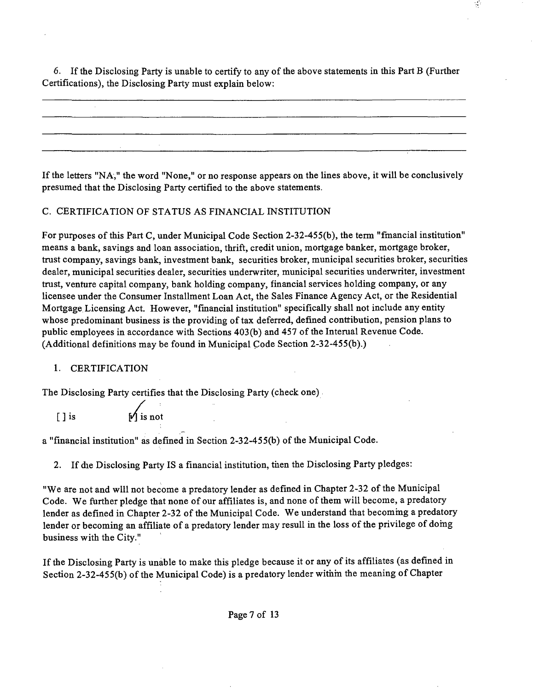6. If the Disclosing Party is unable to certify to any of the above statements in this Part B (Further Certifications), the Disclosing Party must explain below:

If the letters "NA," the word "None," or no response appears on the lines above, it will be conclusively presumed that the Disclosing Party certified to the above statements.

#### C. CERTIFICATION OF STATUS AS FINANCIAL INSTITUTION

For purposes of this Part C, under Municipal Code Section 2-32-455(b), the term "fmancial institution" means a bank, savings and loan association, thrift, credit union, mortgage banker, mortgage broker, tmst company, savings bank, investment bank, securities broker, municipal securities broker, securities dealer, municipal securities dealer, securities underwriter, municipal securities underwriter, investment tmst, ventare capital company, bank holding company, financial services holding company, or any licensee under the Consumer Installment Loan Act, the Sales Finance Agency Act, or the Residential Mortgage Licensing Act. However, "financial institution" specifically shall not include any entity whose predominant business is the providing of tax deferred, defined conttibution, pension plans to public employees in accordance with Sections 403(b) and 457 of the Interual Revenue Code. (Additional definitions may be found in Municipal Code Section 2-32-455(b).)

#### 1. CERTIFICATION

The Disclosing Party certifies that the Disclosing Party (check one)

 $\bigcap$  is  $\bigcup$  is not

a "financial institution" as defined in Section 2-32-455(b) of the Municipal Code.

2. If die Disclosing Party IS a financial institution, tiien the Disclosing Party pledges:

"We are not and will not become a predatory lender as defined in Chapter 2-32 of the Municipal Code. We further pledge that none of our affiliates is, and none of them wiU become, a predatory lender as defined in Chapter 2-32 of the Municipal Code. We understand that becoming a predatory lender or becoming an affiliate of a predatory lender may resull in the loss of the privilege of domg business with the City."

If the Disclosing Party is unable to make this pledge because it or any of its affiliates (as defined in Section 2-32-455(b) of the Municipal Code) is a predatory lender within the meaning of Chapter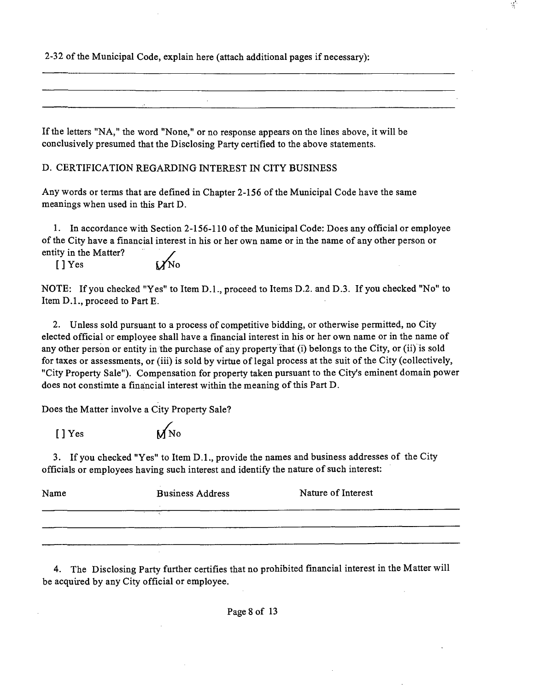2-32 of the Municipal Code, explain here (attach additional pages if necessary):

If the letters "NA," the word "None," or no response appears on the lines above, it will be conclusively presumed that the Disclosing Party certified to the above statements.

D. CERTIFICATION REGARDING INTEREST IN CITY BUSINESS

Any words or terms that are defined in Chapter 2-156 of the Municipal Code have the same meanings when used in this Part D.

1. In accordance with Section 2-156-110 of the Municipal Code: Does any official or employee of the City have a financial interest in his or her own name or in the name of any other person or entity in the Matter?

 $[$  ] Yes  $W^{\rm no}$ 

NOTE: If you checked "Yes" to Item D.l. , proceed to Items D.2. and D.3. If you checked "No" to Item D.L, proceed to Part E.

2. Unless sold pursuant to a process of competitive bidding, or otherwise permitted, no City elected official or employee shall have a financial interest in his or her own name or in the name of any other person or entity in the purchase of any property that (i) belongs to the City, or (ii) is sold for taxes or assessments, or (iii) is sold by virtue of legal process at the suit of the City (collectively, "City Property Sale"). Compensation for property taken pursuant to the City's eminent domain power does not constimte a financial interest within the meaning of this Part D.

Does the Matter involve a City Property Sale?

*[ ] Yes I/NO* 

3. If you checked "Yes" to Item D.L, provide the names and business addresses of the City officials or employees having such interest and identify the natare of such interest:

| Name | <b>Business Address</b> | Nature of Interest |
|------|-------------------------|--------------------|
|      |                         |                    |
|      |                         |                    |
|      |                         |                    |
|      |                         |                    |
|      |                         |                    |

4. The Disclosing Party further certifies that no prohibited financial interest in the Matter will be acquured by any City official or employee.

Page 8 of 13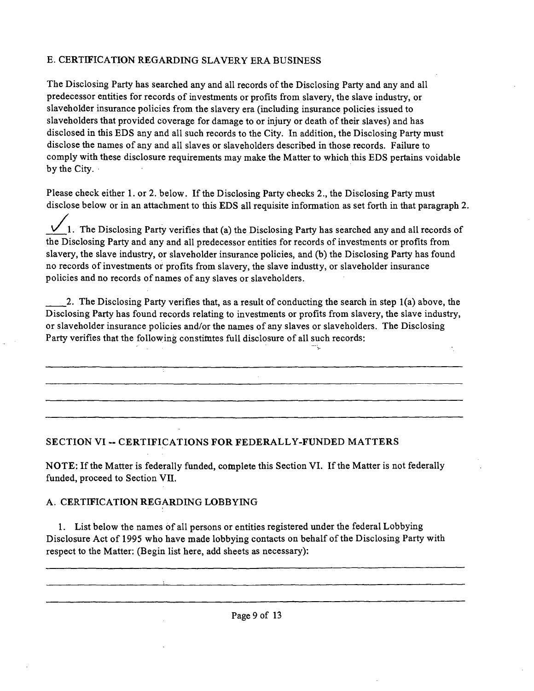# E. CERTIFICATION REGARDING SLAVERY ERA BUSINESS

The Disclosing Party has searched any and all records of the Disclosing Party and any and all predecessor entities for records of investments or profits from slavery, the slave industry, or slaveholder insurance policies from the slavery era (including insurance policies issued to slaveholders that provided coverage for damage to or injury or death of their slaves) and has disclosed in this EDS any and all such records to the City. In addition, the Disclosing Party must disclose the names of any and all slaves or slaveholders described in those records. Failure to comply with these disclosure requirements may make the Matter to which this EDS pertains voidable by the City.

Please check either 1. or 2. below. If the Disclosing Party checks 2., the Disclosing Party must disclose below or in an attachment to this EDS all requisite information as set forth in that paragraph 2.

1. The Disclosing Party verifies that (a) the Disclosing Party has searched any and all records of the Disclosing Party and any and all predecessor entities for records of investments or profits from slavery, the slave industry, or slaveholder insurance policies, and (b) the Disclosing Party has found no records of investments or profits from slavery, the slave industty, or slaveholder insurance policies and no records of names of any slaves or slaveholders.

2. The Disclosing Party verifies that, as a result of conducting the search in step 1(a) above, the Disclosing Party has found records relating to investments or profits from slavery, the slave industry, or slaveholder insurance policies and/or the names of any slaves or slaveholders. The Disclosing Party verifies that the following constimtes full disclosure of all such records:

# **SECTION VI - CERTIFICATIONS FOR FEDERALLY-FUNDED MATTERS**

NOTE: If the Matter is federally funded, complete this Section VI. If the Matter is not federally funded, proceed to Section VII.

# A. CERTIFICATION REGARDING LOBBYING

1. List below the names of all persons or entities registered under the federal Lobbying Disclosure Act of 1995 who have made lobbying contacts on behalf of the Disclosing Party with respect to the Matter: (Begin list here, add sheets as necessary):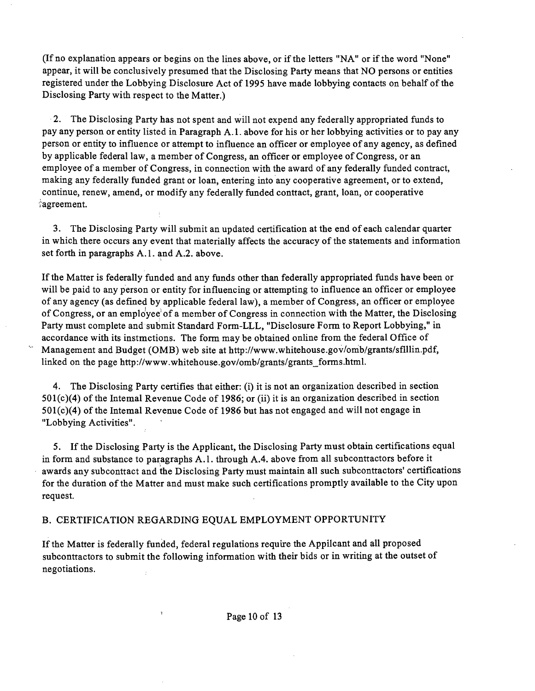(If no explanation appears or begins on the lines above, or if the letters "NA" or if the word "None" appear, it will be conclusively presumed that the Disclosing Party means that NO persons or entities registered under the Lobbying Disclosure Act of 1995 have made lobbying contacts on behalf ofthe Disclosing Party with respect to the Matter.)

2. The Disclosing Party has not spent and will not expend any federally appropriated funds to pay any person or entity listed in Paragraph A. 1. above for his or her lobbying activities or to pay any person or entity to influence or attempt to influence an officer or employee of any agency, as defined by applicable federal law, a member of Congress, an officer or employee of Congress, or an employee of a member of Congress, in connection with the award of any federally funded contract, making any federally funded grant or loan, entering into any cooperative agreement, or to extend, continue, renew, amend, or modify any federally funded conttact, grant, loan, or cooperative agreement.

3. The Disclosing Party will submit an updated certification at the end of each calendar quarter in which there occurs any event that materially affects the accuracy of the statements and information set forth in paragraphs A.1. and A.2. above.

If the Matter is federally funded and any funds other than federally appropriated funds have been or will be paid to any person or entity for influencing or attempting to influence an officer or employee of any agency (as defined by applicable federal law), a member of Congress, an officer or employee of Congress, or an employee' of a member of Congress in connection with the Matter, the Disclosing Party must complete and submit Standard Form-LLL, "Disclosure Form to Report Lobbying," in accordance with its instmctions. The form may be obtained online from the federal Office of Management and Budget (OMB) web site at http://www.whitehouse.gov/omb/grants/sflllin.pdf, linked on the page http://www.whitehouse.gov/omb/grants/grants forms.html.

4. The Disclosing Party certifies that either: (i) it is not an organization described in section  $501(c)(4)$  of the Intemal Revenue Code of 1986; or (ii) it is an organization described in section  $501(c)(4)$  of the Intemal Revenue Code of 1986 but has not engaged and will not engage in "Lobbying Activities".

5. Ifthe Disclosing Party is the Applicant, the Disclosing Party must obtain certifications equal in form and substance to paragraphs A.1. through A.4. above from all subconttactors before it awards any subconttact and the Disclosing Party must maintain all such subconttactors' certifications for the duration of the Matter and must make such certifications promptly available to the City upon request.

#### B. CERTIFICATION REGARDING EQUAL EMPLOYMENT OPPORTUNITY

If the Matter is federally funded, federal regulations require the Appilcant and all proposed subconttactors to submit the following information with their bids or in writing at the outset of negotiations.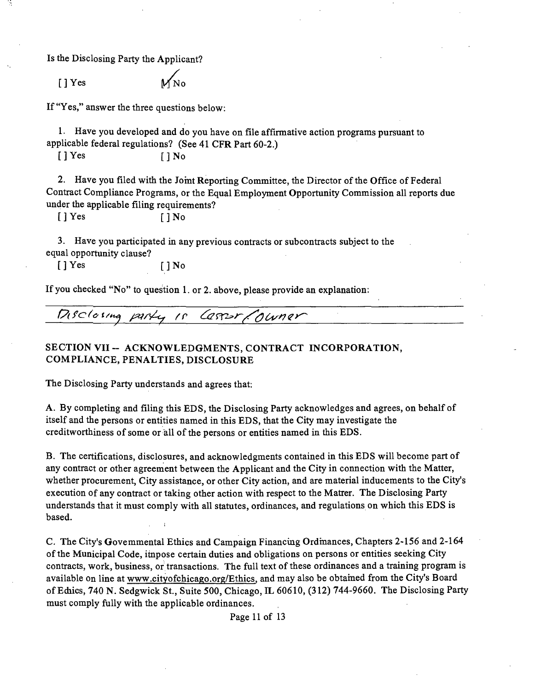Is the Disclosing Party the Applicant?

 $[ ]$  Yes

If "Yes," answer the three questions below:

1. Have you developed and do you have on file affirmative action programs pursuant to applicable federal regulations? (See 41 CFR Part 60-2.)

 $[ ]$  Yes  $[ ]$  No

2. Have you filed with the Jomt Reporting Committee, the Director of the Office of Federal Contract Compliance Programs, or the Equal Employment Opportanity Commission all reports due under the applicable filing requirements?

 $[ ] Yes$   $] No$ 

3. Have you participated in any previous contracts or subconttacts subject to the equal opportanity clause?

 $[ ] Yes$   $[ ] No$ 

If you checked "No" to question 1. or 2. above, please provide an explanation:

 $P$ isclosing party is Casser/Owner

# **SECTION VII ~ ACKNOWLEDGMENTS, CONTRACT INCORPORATION, COMPLIANCE, PENALTIES, DISCLOSURE**

The Disclosing Party understands and agrees that:

A. By completing and filing this EDS, the Disclosing Party acknowledges and agrees, on behalf of itself and the persons or entities named in this EDS, that the City may investigate the creditworthiness of some or all of the persons or entities named in this EDS.

B. The certifications, disclosures, and acknowledgments contained in this EDS will become part of any contract or other agreement between the Applicant and the City in connection with the Matter, whether procurement. City assistance, or other City action, and are material inducements to the City's execution of any contract or taking other action with respect to the Matrer. The Disclosing Party understands that it must comply with all statates, ordinances, and regulations on which this EDS is based.

C. The City's Govemmental Ethics and Campaign Financuig Ordmances, Chapters 2-156 and 2-164 of the Municipal Code, impose certain duties and obligations on persons or entities seeking City contracts, work, business, or transactions. The full text of these ordinances and a training program is available on line at www.cityofchicago.org/Ethics, and may also be obtamed from the City's Board of Ediics, 740 N. Sedgwick St., Suite 500, Chicago, IL 60610, (312) 744-9660. The Disclosing Party must comply fully with the applicable ordinances.

Page 11 of 13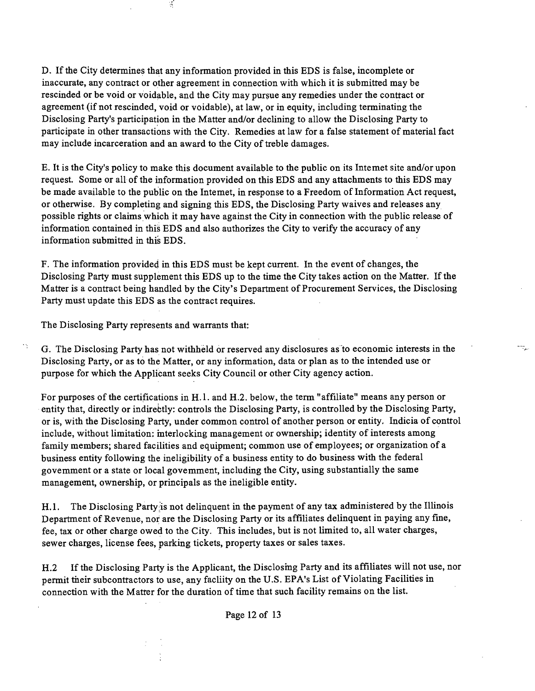D. If the City determines that any information provided in this EDS is false, incomplete or inaccurate, any contract or other agreement in connection with which it is submitted may be rescinded or be void or voidable, and the City may pursue any remedies under the conttact or agreement (if not rescinded, void or voidable), at law, or in equity, including terminating the Disclosing Party's participation in the Matter and/or declining to allow the Disclosing Party to participate in other transactions with the City. Remedies at law for a false statement of material fact may include incarceration and an award to the City of treble damages.

E. It is the City's policy to make this document available to the public on its Intemet site and/or upon request. Some or all of the information provided on this EDS and any attachments to this EDS may be made available to the public on the Intemet, in response to a Freedom of Information Act request, or otherwise. By completing and signing this EDS, the Disclosing Party waives and releases any possible rights or claims which it may have against the City in connection with the public release of information contained in this EDS and also authorizes the City to verify the accuracy of any information submitted in this EDS.

F. The information provided in this EDS must be kept current. In the event of changes, the Disclosing Party must supplement this EDS up to the time the City takes action on the Matter. If the Matter is a conttact being handled by the City's Department of Procurement Services, the Disclosing Party must update this EDS as the contract requires.

The Disclosing Party represents and warrants that:

hş.

 $\mathcal{L}$ 

G. The Disclosing Party has not withheld or reserved any disclosures as'to economic interests in the Disclosing Party, or as to the Matter, or any information, data or plan as to the intended use or purpose for which the Applicant seeks City Council or other City agency action.

ning,

For purposes of the certifications in H.1. and H.2. below, the term "affiliate" means any person or entity that, directly or indirebtly: controls the Disclosing Party, is controlled by the Disclosing Party, or is, with the Disclosing Party, under common control of another person or entity. Indicia of conttol include, without limitation: mterlocking management or ownership; identity of interests among family members; shared facilities and equipment; common use of employees; or organization of a business entity following the ineligibility of a business entity to do business with the federal govemment or a state or local govemment, including the City, using substantially the same management, ownership, or principals as the ineligible entity.

H.1. The Disclosing Party is not delinquent in the payment of any tax administered by the Illinois Department of Revenue, nor are the Disclosing Party or its affiliates delinquent in paying any fine, fee, tax or other charge owed to the City. This includes, but is not limited to, all water charges, sewer charges, license fees, parking tickets, property taxes or sales taxes.

H.2 If the Disclosing Party is the Applicant, the Disclosing Party and its affiliates will not use, nor permit tiieir subcontractors to use, any facliity on the U.S. EPA's List of Violating Facilities in connection with the Matter for the duration of time that such facility remains on the list.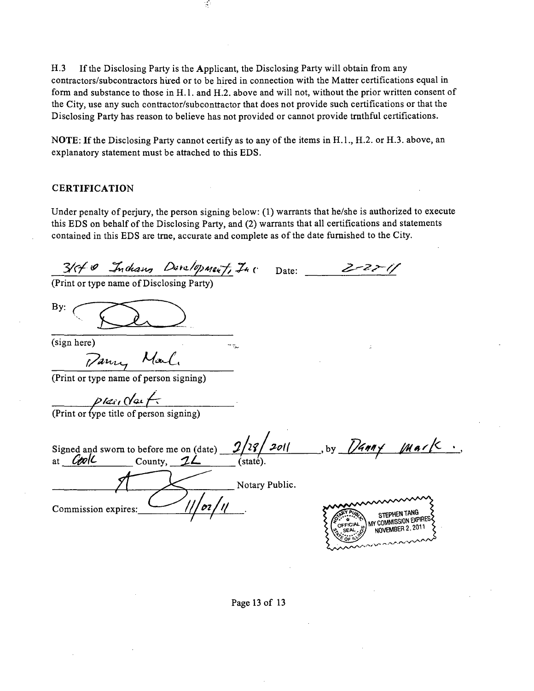H.3 If the Disclosing Party is the Applicant, the Disclosing Party will obtain from any contractors/subcontractors hured or to be hired in connection with the Matter certifications equal in form and substance to those in H.l . and H.2. above and will not, without the prior written consent of the City, use any such conttactor/subconttactor that does not provide such certifications or that the Disclosing Party has reason to believe has not provided or cannot provide tmthful certifications.

Ý,

NOTE: If the Disclosing Party cannot certify as to any of the items in H.1., H.2. or H.3. above, an explanatory statement must be attached to this EDS.

#### **CERTIFICATION**

Under penalty of perjury, the person signing below: (1) warrants that he/she is authorized to execute this EDS on behalf of the Disclosing Party, and (2) warrants that all certifications and statements contained in this EDS are tme, accurate and complete as ofthe date fumished to the City.

 $3/$ c/  $9$  Inchang Development, Inc Date: (Print or type name of Disclosing Party) By:

(sign here)

Pany Mal.

(Print or type name of person signing)

*y/^i f c/ai- / z* 

(Print or type title of person signing)

 $2/28/201$ , by  $D4997$ Signed and swom to before me on (date) at  $Cov(C)$  County,  $2\angle$ Notary Public. Commission expires: STEPHEN TANG

COMMISSION EXPIRE NOVEMBER 2

Page 13 of 13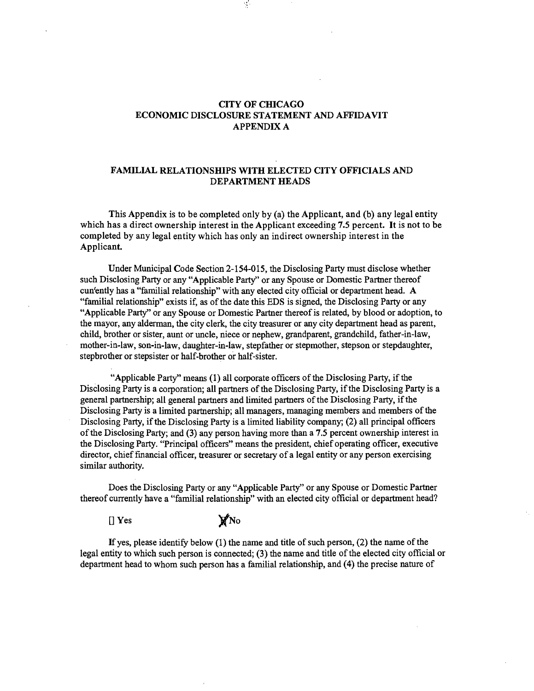#### **CITY OF CHICAGO ECONOMIC DISCLOSURE STATEMENT AND AFFIDAVIT APPENDIX A**

 $\mathcal{I}$ 

#### **FAMILIAL RELATIONSHIPS WITH ELECTED CITY OFFICIALS AND DEPARTMENT HEADS**

**This Appendix is to be completed only by (a) the Applicant, and (b) any legal entity which has a direct ownership interest in the Applicant exceeding 7.5 percent. It is not to be completed by any legal entity which has only an indirect ownership interest in the**  Applicant.

Under Municipal Code Section 2-154-015, the Disclosing Party must disclose whether such Disclosing Party or any "Applicable Party" or any Spouse or Domestic Partaer thereof cun'ently has a "familial relationship" with any elected city official or department head. A "familial relationship" exists if, as ofthe date this EDS is signed, the Disclosing Party or any "Applicable Party" or any Spouse or Domestic Partner thereof is related, by blood or adoption, to the mayor, any alderman, the city clerk, the city treasurer or any city department head as parent, child, brother or sister, aunt or uncle, niece or nephew, grandparent, grandchild, father-in-law, mother-in-law, son-in-law, daughter-in-law, stepfather or stepmother, stepson or stepdaughter, stepbrother or stepsister or half-brother or half-sister.

"Applicable Party" means (1) all corporate officers of the Disclosing Party, if the Disclosing Party is a corporation; all partners of the Disclosing Party, if the Disclosing Party is a general partnership; all general partners and limited partaers ofthe Disclosing Party, ifthe Disclosing Party is a limited partnership; all managers, managing members and members of the Disclosing Party, if the Disclosing Party is a limited liability company; (2) all principal officers ofthe Disclosing Party; and (3) any person having more than a 7.5 percent ownership interest in the Disclosing Party. "Principal officers" means the president, chief operating officer, executive director, chief financial officer, treasurer or secretary of a legal entity or any person exercising similar authority.

Does the Disclosing Party or any "Applicable Party" or any Spouse or Domestic Partner thereof currently have a "familial relationship" with an elected city official or department head?

 $[$  Yes  $]$  Yes  $]$  No

If yes, please identify below  $(1)$  the name and title of such person,  $(2)$  the name of the legal entity to which such person is connected; (3) the name and title of the elected city official or department head to whom such person has a familial relationship, and (4) the precise nature of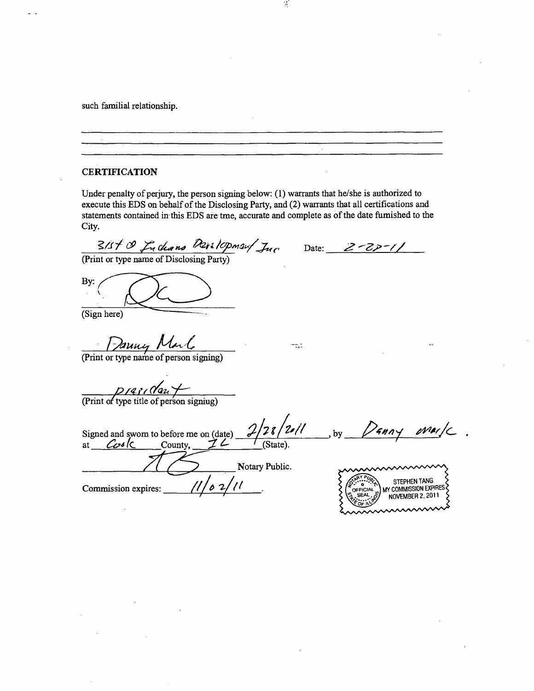such familial relationship.

**CERTIFICATION** 

Under penalty of perjury, the person signing below: (1) warrants that he/she is authorized to execute this EDS on behalf of the Disclosing Party, and (2) warrants that all certifications and statements contained in this EDS are tme, accurate and complete as of the date fumished to the City.

 $\mathcal{A}$ 

 $3/5$ / C<sub>1</sub> Chano Darilcopman/  $\mathcal{J}_{uc}$ 

Date:

(Print or type name of Disclosing Party)

By:  $\left(\bigotimes$ 

(Print or type name of person signing)

 $p$  rasi (Van $+$ 

(Print of type title of person signiug)

 $2/28/201$  . by *Signed and swom to before me on (date)*   $\overline{\text{(State)}}$ at <u>*Cos*Ic</u> County, 72 Notary Public **STEPHEN TANG** Commission expires:  $\frac{1}{2}$ WY COMMISSION EXPIRES OFFICIAL SEA NOVEMBER 2, 2011

to.<br>Tax